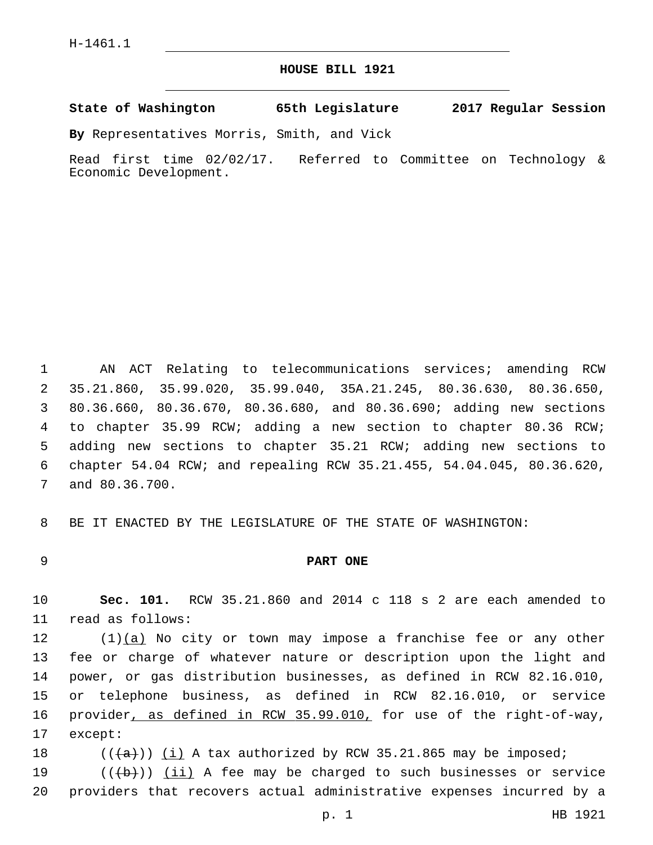## **HOUSE BILL 1921**

**State of Washington 65th Legislature 2017 Regular Session**

**By** Representatives Morris, Smith, and Vick

Read first time 02/02/17. Referred to Committee on Technology & Economic Development.

 AN ACT Relating to telecommunications services; amending RCW 35.21.860, 35.99.020, 35.99.040, 35A.21.245, 80.36.630, 80.36.650, 80.36.660, 80.36.670, 80.36.680, and 80.36.690; adding new sections to chapter 35.99 RCW; adding a new section to chapter 80.36 RCW; adding new sections to chapter 35.21 RCW; adding new sections to chapter 54.04 RCW; and repealing RCW 35.21.455, 54.04.045, 80.36.620, 7 and 80.36.700.

8 BE IT ENACTED BY THE LEGISLATURE OF THE STATE OF WASHINGTON:

## 9 **PART ONE**

10 **Sec. 101.** RCW 35.21.860 and 2014 c 118 s 2 are each amended to 11 read as follows:

 $(1)(a)$  No city or town may impose a franchise fee or any other fee or charge of whatever nature or description upon the light and power, or gas distribution businesses, as defined in RCW 82.16.010, or telephone business, as defined in RCW 82.16.010, or service 16 provider, as defined in RCW 35.99.010, for use of the right-of-way, 17 except:

18  $((+a))$   $(i)$  A tax authorized by RCW 35.21.865 may be imposed;

19  $((+b))$  (ii) A fee may be charged to such businesses or service 20 providers that recovers actual administrative expenses incurred by a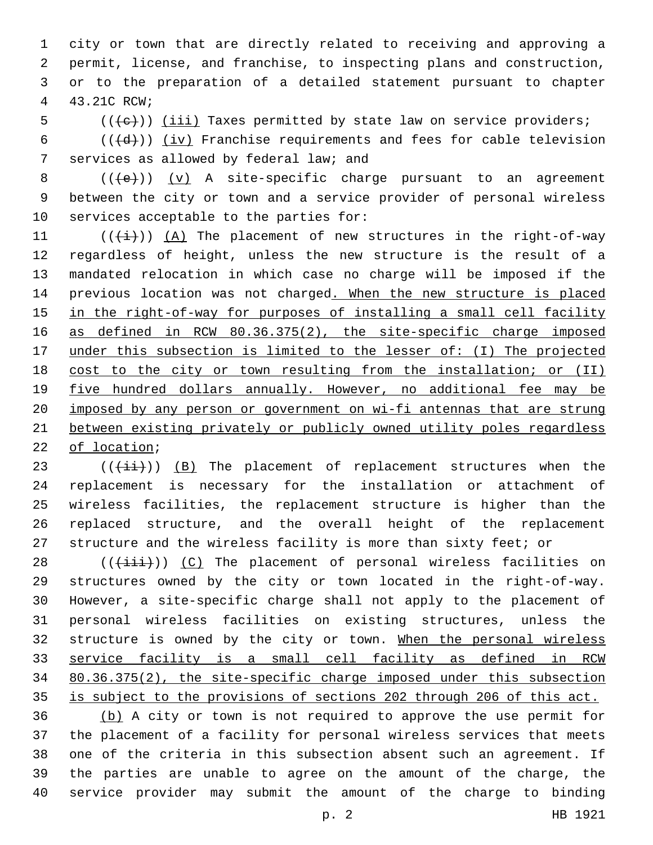city or town that are directly related to receiving and approving a permit, license, and franchise, to inspecting plans and construction, or to the preparation of a detailed statement pursuant to chapter 43.21C RCW;4

(( $\left(\frac{1}{11}\right)$  (iii) Taxes permitted by state law on service providers;

6 ( $(\overline{d})$ ) (iv) Franchise requirements and fees for cable television 7 services as allowed by federal law; and

8  $((+e))$   $(y)$  A site-specific charge pursuant to an agreement between the city or town and a service provider of personal wireless 10 services acceptable to the parties for:

 $((\overrightarrow{i}))$   $(A)$  The placement of new structures in the right-of-way regardless of height, unless the new structure is the result of a mandated relocation in which case no charge will be imposed if the previous location was not charged. When the new structure is placed in the right-of-way for purposes of installing a small cell facility 16 as defined in RCW 80.36.375(2), the site-specific charge imposed under this subsection is limited to the lesser of: (I) The projected 18 cost to the city or town resulting from the installation; or (II) five hundred dollars annually. However, no additional fee may be imposed by any person or government on wi-fi antennas that are strung between existing privately or publicly owned utility poles regardless 22 of location;

 (( $(i+i)$ )) (B) The placement of replacement structures when the replacement is necessary for the installation or attachment of wireless facilities, the replacement structure is higher than the replaced structure, and the overall height of the replacement structure and the wireless facility is more than sixty feet; or

 $((\overrightarrow{iii}))$  (C) The placement of personal wireless facilities on structures owned by the city or town located in the right-of-way. However, a site-specific charge shall not apply to the placement of personal wireless facilities on existing structures, unless the 32 structure is owned by the city or town. When the personal wireless service facility is a small cell facility as defined in RCW 80.36.375(2), the site-specific charge imposed under this subsection is subject to the provisions of sections 202 through 206 of this act.

 (b) A city or town is not required to approve the use permit for the placement of a facility for personal wireless services that meets one of the criteria in this subsection absent such an agreement. If the parties are unable to agree on the amount of the charge, the service provider may submit the amount of the charge to binding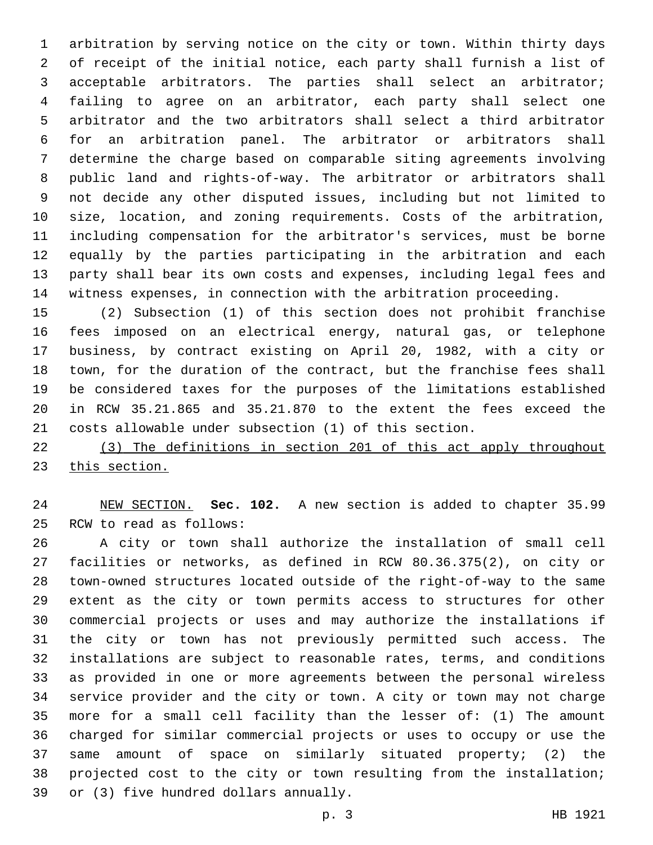arbitration by serving notice on the city or town. Within thirty days of receipt of the initial notice, each party shall furnish a list of acceptable arbitrators. The parties shall select an arbitrator; failing to agree on an arbitrator, each party shall select one arbitrator and the two arbitrators shall select a third arbitrator for an arbitration panel. The arbitrator or arbitrators shall determine the charge based on comparable siting agreements involving public land and rights-of-way. The arbitrator or arbitrators shall not decide any other disputed issues, including but not limited to size, location, and zoning requirements. Costs of the arbitration, including compensation for the arbitrator's services, must be borne equally by the parties participating in the arbitration and each party shall bear its own costs and expenses, including legal fees and witness expenses, in connection with the arbitration proceeding.

 (2) Subsection (1) of this section does not prohibit franchise fees imposed on an electrical energy, natural gas, or telephone business, by contract existing on April 20, 1982, with a city or town, for the duration of the contract, but the franchise fees shall be considered taxes for the purposes of the limitations established in RCW 35.21.865 and 35.21.870 to the extent the fees exceed the costs allowable under subsection (1) of this section.

 (3) The definitions in section 201 of this act apply throughout this section.

 NEW SECTION. **Sec. 102.** A new section is added to chapter 35.99 25 RCW to read as follows:

 A city or town shall authorize the installation of small cell facilities or networks, as defined in RCW 80.36.375(2), on city or town-owned structures located outside of the right-of-way to the same extent as the city or town permits access to structures for other commercial projects or uses and may authorize the installations if the city or town has not previously permitted such access. The installations are subject to reasonable rates, terms, and conditions as provided in one or more agreements between the personal wireless service provider and the city or town. A city or town may not charge more for a small cell facility than the lesser of: (1) The amount charged for similar commercial projects or uses to occupy or use the same amount of space on similarly situated property; (2) the projected cost to the city or town resulting from the installation; 39 or (3) five hundred dollars annually.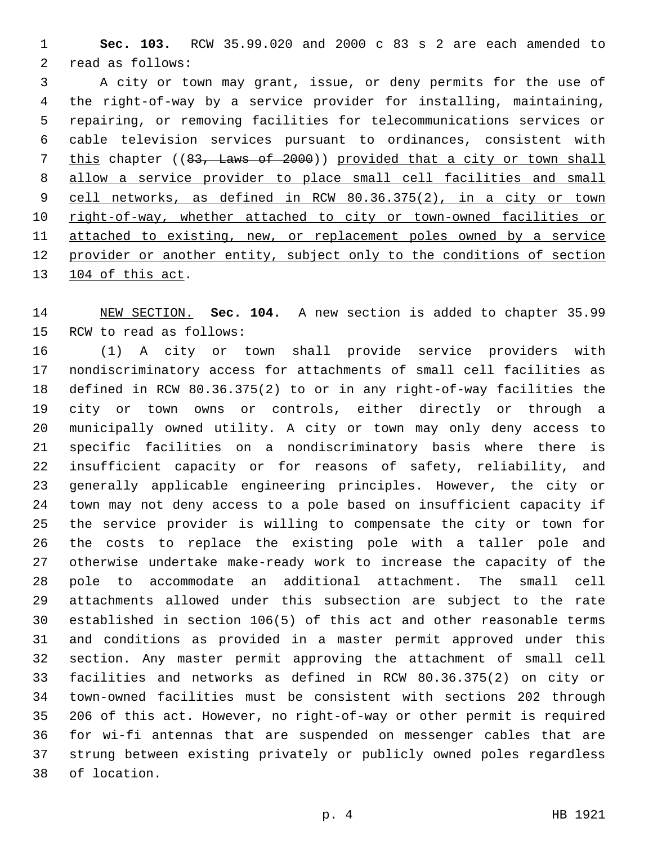**Sec. 103.** RCW 35.99.020 and 2000 c 83 s 2 are each amended to 2 read as follows:

 A city or town may grant, issue, or deny permits for the use of the right-of-way by a service provider for installing, maintaining, repairing, or removing facilities for telecommunications services or cable television services pursuant to ordinances, consistent with this chapter ((83, Laws of 2000)) provided that a city or town shall allow a service provider to place small cell facilities and small cell networks, as defined in RCW 80.36.375(2), in a city or town 10 right-of-way, whether attached to city or town-owned facilities or attached to existing, new, or replacement poles owned by a service provider or another entity, subject only to the conditions of section 13 104 of this act.

 NEW SECTION. **Sec. 104.** A new section is added to chapter 35.99 15 RCW to read as follows:

 (1) A city or town shall provide service providers with nondiscriminatory access for attachments of small cell facilities as defined in RCW 80.36.375(2) to or in any right-of-way facilities the city or town owns or controls, either directly or through a municipally owned utility. A city or town may only deny access to specific facilities on a nondiscriminatory basis where there is insufficient capacity or for reasons of safety, reliability, and generally applicable engineering principles. However, the city or town may not deny access to a pole based on insufficient capacity if the service provider is willing to compensate the city or town for the costs to replace the existing pole with a taller pole and otherwise undertake make-ready work to increase the capacity of the pole to accommodate an additional attachment. The small cell attachments allowed under this subsection are subject to the rate established in section 106(5) of this act and other reasonable terms and conditions as provided in a master permit approved under this section. Any master permit approving the attachment of small cell facilities and networks as defined in RCW 80.36.375(2) on city or town-owned facilities must be consistent with sections 202 through 206 of this act. However, no right-of-way or other permit is required for wi-fi antennas that are suspended on messenger cables that are strung between existing privately or publicly owned poles regardless 38 of location.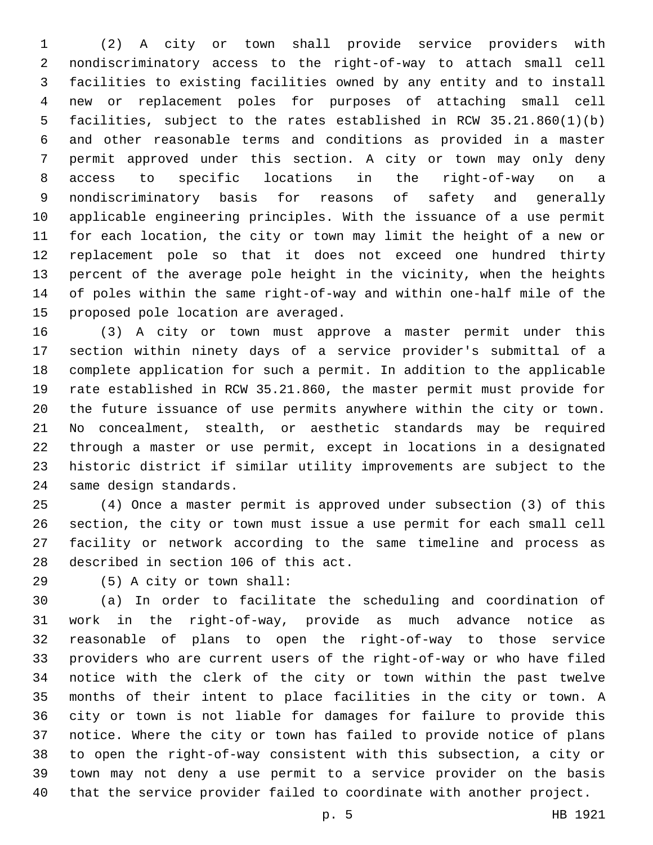(2) A city or town shall provide service providers with nondiscriminatory access to the right-of-way to attach small cell facilities to existing facilities owned by any entity and to install new or replacement poles for purposes of attaching small cell facilities, subject to the rates established in RCW 35.21.860(1)(b) and other reasonable terms and conditions as provided in a master permit approved under this section. A city or town may only deny access to specific locations in the right-of-way on a nondiscriminatory basis for reasons of safety and generally applicable engineering principles. With the issuance of a use permit for each location, the city or town may limit the height of a new or replacement pole so that it does not exceed one hundred thirty percent of the average pole height in the vicinity, when the heights of poles within the same right-of-way and within one-half mile of the 15 proposed pole location are averaged.

 (3) A city or town must approve a master permit under this section within ninety days of a service provider's submittal of a complete application for such a permit. In addition to the applicable rate established in RCW 35.21.860, the master permit must provide for the future issuance of use permits anywhere within the city or town. No concealment, stealth, or aesthetic standards may be required through a master or use permit, except in locations in a designated historic district if similar utility improvements are subject to the 24 same design standards.

 (4) Once a master permit is approved under subsection (3) of this section, the city or town must issue a use permit for each small cell facility or network according to the same timeline and process as 28 described in section 106 of this act.

(5) A city or town shall:29

 (a) In order to facilitate the scheduling and coordination of work in the right-of-way, provide as much advance notice as reasonable of plans to open the right-of-way to those service providers who are current users of the right-of-way or who have filed notice with the clerk of the city or town within the past twelve months of their intent to place facilities in the city or town. A city or town is not liable for damages for failure to provide this notice. Where the city or town has failed to provide notice of plans to open the right-of-way consistent with this subsection, a city or town may not deny a use permit to a service provider on the basis that the service provider failed to coordinate with another project.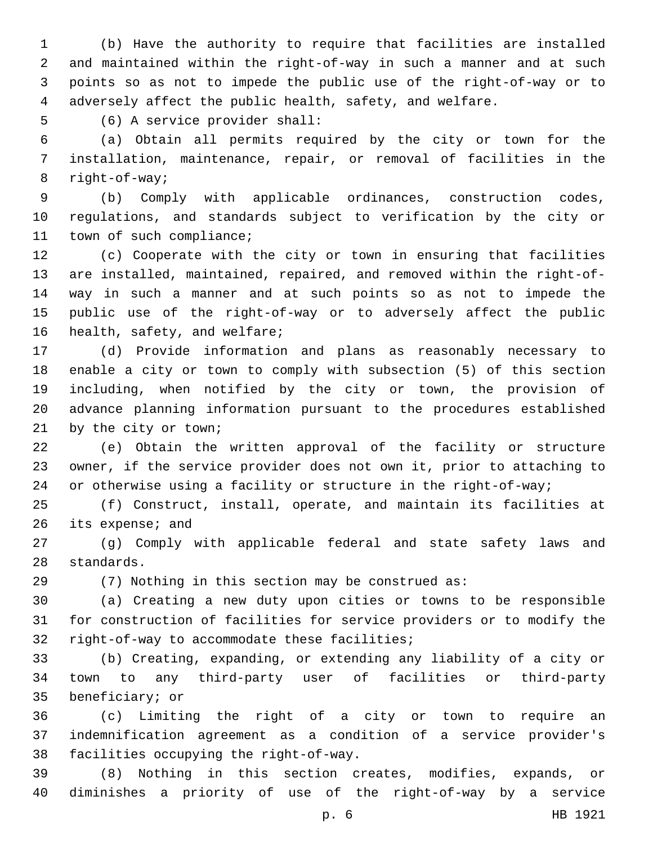(b) Have the authority to require that facilities are installed and maintained within the right-of-way in such a manner and at such points so as not to impede the public use of the right-of-way or to adversely affect the public health, safety, and welfare.

5 (6) A service provider shall:

 (a) Obtain all permits required by the city or town for the installation, maintenance, repair, or removal of facilities in the 8 right-of-way;

 (b) Comply with applicable ordinances, construction codes, regulations, and standards subject to verification by the city or 11 town of such compliance;

 (c) Cooperate with the city or town in ensuring that facilities are installed, maintained, repaired, and removed within the right-of- way in such a manner and at such points so as not to impede the public use of the right-of-way or to adversely affect the public 16 health, safety, and welfare;

 (d) Provide information and plans as reasonably necessary to enable a city or town to comply with subsection (5) of this section including, when notified by the city or town, the provision of advance planning information pursuant to the procedures established 21 by the city or town;

 (e) Obtain the written approval of the facility or structure owner, if the service provider does not own it, prior to attaching to or otherwise using a facility or structure in the right-of-way;

 (f) Construct, install, operate, and maintain its facilities at 26 its expense; and

 (g) Comply with applicable federal and state safety laws and 28 standards.

(7) Nothing in this section may be construed as:

 (a) Creating a new duty upon cities or towns to be responsible for construction of facilities for service providers or to modify the 32 right-of-way to accommodate these facilities;

 (b) Creating, expanding, or extending any liability of a city or town to any third-party user of facilities or third-party 35 beneficiary; or

 (c) Limiting the right of a city or town to require an indemnification agreement as a condition of a service provider's 38 facilities occupying the right-of-way.

 (8) Nothing in this section creates, modifies, expands, or diminishes a priority of use of the right-of-way by a service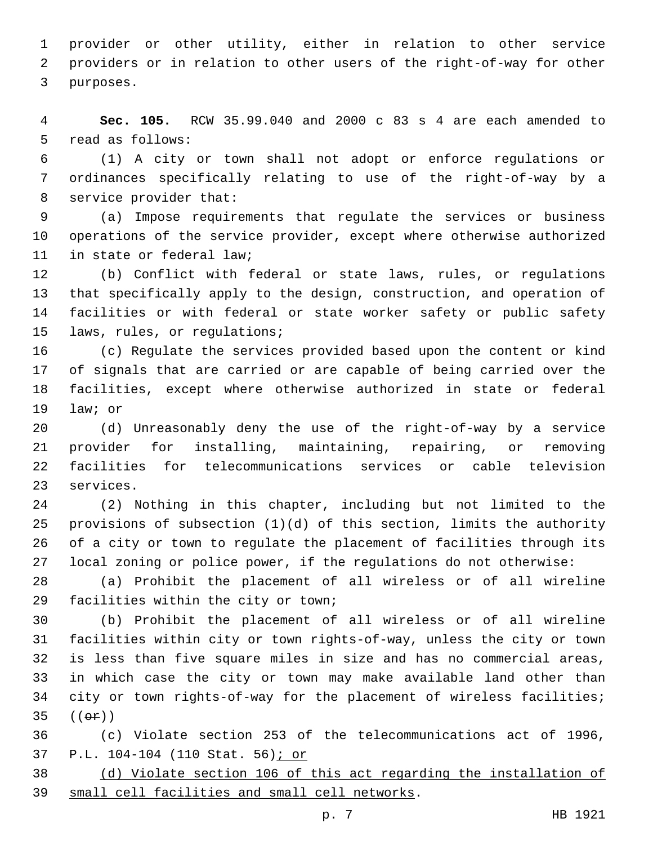provider or other utility, either in relation to other service providers or in relation to other users of the right-of-way for other 3 purposes.

 **Sec. 105.** RCW 35.99.040 and 2000 c 83 s 4 are each amended to 5 read as follows:

 (1) A city or town shall not adopt or enforce regulations or ordinances specifically relating to use of the right-of-way by a 8 service provider that:

 (a) Impose requirements that regulate the services or business operations of the service provider, except where otherwise authorized 11 in state or federal law;

 (b) Conflict with federal or state laws, rules, or regulations that specifically apply to the design, construction, and operation of facilities or with federal or state worker safety or public safety 15 laws, rules, or regulations;

 (c) Regulate the services provided based upon the content or kind of signals that are carried or are capable of being carried over the facilities, except where otherwise authorized in state or federal 19 law; or

 (d) Unreasonably deny the use of the right-of-way by a service provider for installing, maintaining, repairing, or removing facilities for telecommunications services or cable television 23 services.

 (2) Nothing in this chapter, including but not limited to the provisions of subsection (1)(d) of this section, limits the authority of a city or town to regulate the placement of facilities through its local zoning or police power, if the regulations do not otherwise:

 (a) Prohibit the placement of all wireless or of all wireline 29 facilities within the city or town;

 (b) Prohibit the placement of all wireless or of all wireline facilities within city or town rights-of-way, unless the city or town is less than five square miles in size and has no commercial areas, in which case the city or town may make available land other than city or town rights-of-way for the placement of wireless facilities;  $((e^{\frac{r}{2}}))$ 

 (c) Violate section 253 of the telecommunications act of 1996, P.L. 104-104 (110 Stat. 56); or

 (d) Violate section 106 of this act regarding the installation of 39 small cell facilities and small cell networks.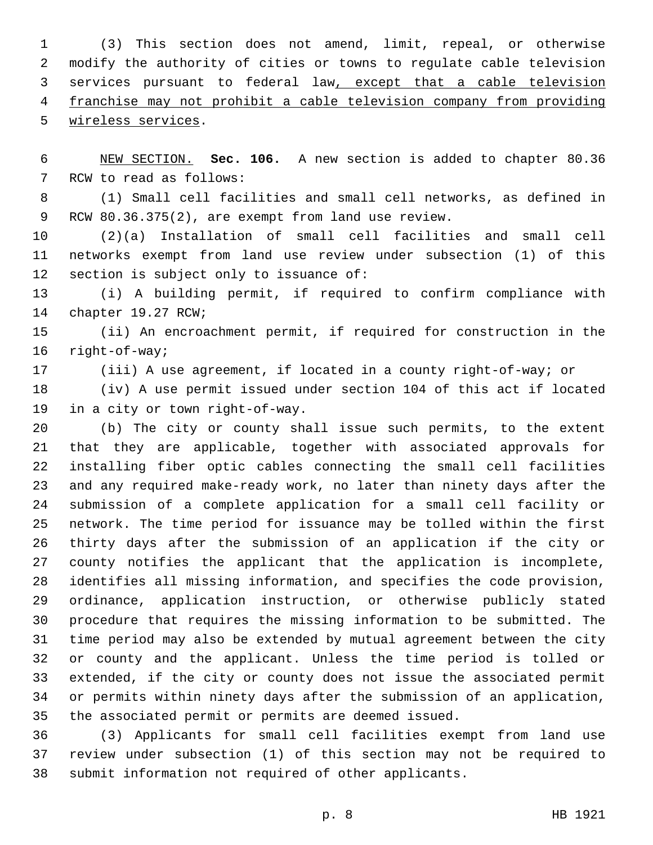(3) This section does not amend, limit, repeal, or otherwise modify the authority of cities or towns to regulate cable television services pursuant to federal law, except that a cable television franchise may not prohibit a cable television company from providing 5 wireless services.

 NEW SECTION. **Sec. 106.** A new section is added to chapter 80.36 7 RCW to read as follows:

 (1) Small cell facilities and small cell networks, as defined in 9 RCW 80.36.375(2), are exempt from land use review.

 (2)(a) Installation of small cell facilities and small cell networks exempt from land use review under subsection (1) of this 12 section is subject only to issuance of:

 (i) A building permit, if required to confirm compliance with 14 chapter 19.27 RCW;

 (ii) An encroachment permit, if required for construction in the 16 right-of-way;

(iii) A use agreement, if located in a county right-of-way; or

 (iv) A use permit issued under section 104 of this act if located 19 in a city or town right-of-way.

 (b) The city or county shall issue such permits, to the extent that they are applicable, together with associated approvals for installing fiber optic cables connecting the small cell facilities and any required make-ready work, no later than ninety days after the submission of a complete application for a small cell facility or network. The time period for issuance may be tolled within the first thirty days after the submission of an application if the city or county notifies the applicant that the application is incomplete, identifies all missing information, and specifies the code provision, ordinance, application instruction, or otherwise publicly stated procedure that requires the missing information to be submitted. The time period may also be extended by mutual agreement between the city or county and the applicant. Unless the time period is tolled or extended, if the city or county does not issue the associated permit or permits within ninety days after the submission of an application, the associated permit or permits are deemed issued.

 (3) Applicants for small cell facilities exempt from land use review under subsection (1) of this section may not be required to submit information not required of other applicants.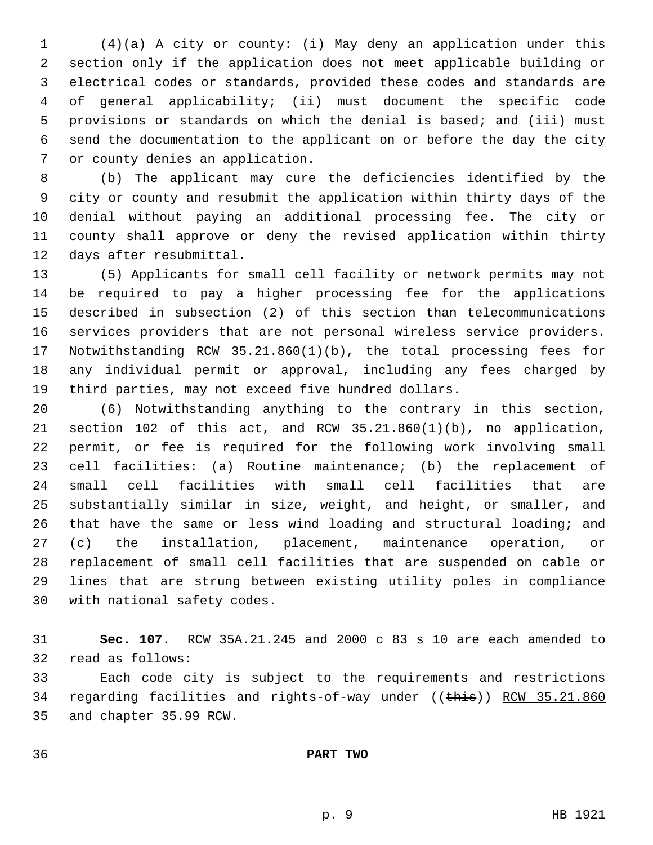(4)(a) A city or county: (i) May deny an application under this section only if the application does not meet applicable building or electrical codes or standards, provided these codes and standards are of general applicability; (ii) must document the specific code provisions or standards on which the denial is based; and (iii) must send the documentation to the applicant on or before the day the city 7 or county denies an application.

 (b) The applicant may cure the deficiencies identified by the city or county and resubmit the application within thirty days of the denial without paying an additional processing fee. The city or county shall approve or deny the revised application within thirty 12 days after resubmittal.

 (5) Applicants for small cell facility or network permits may not be required to pay a higher processing fee for the applications described in subsection (2) of this section than telecommunications services providers that are not personal wireless service providers. Notwithstanding RCW 35.21.860(1)(b), the total processing fees for any individual permit or approval, including any fees charged by third parties, may not exceed five hundred dollars.

 (6) Notwithstanding anything to the contrary in this section, section 102 of this act, and RCW 35.21.860(1)(b), no application, permit, or fee is required for the following work involving small cell facilities: (a) Routine maintenance; (b) the replacement of small cell facilities with small cell facilities that are substantially similar in size, weight, and height, or smaller, and that have the same or less wind loading and structural loading; and (c) the installation, placement, maintenance operation, or replacement of small cell facilities that are suspended on cable or lines that are strung between existing utility poles in compliance 30 with national safety codes.

 **Sec. 107.** RCW 35A.21.245 and 2000 c 83 s 10 are each amended to 32 read as follows:

 Each code city is subject to the requirements and restrictions 34 regarding facilities and rights-of-way under ((this)) RCW 35.21.860 35 and chapter 35.99 RCW.

**PART TWO**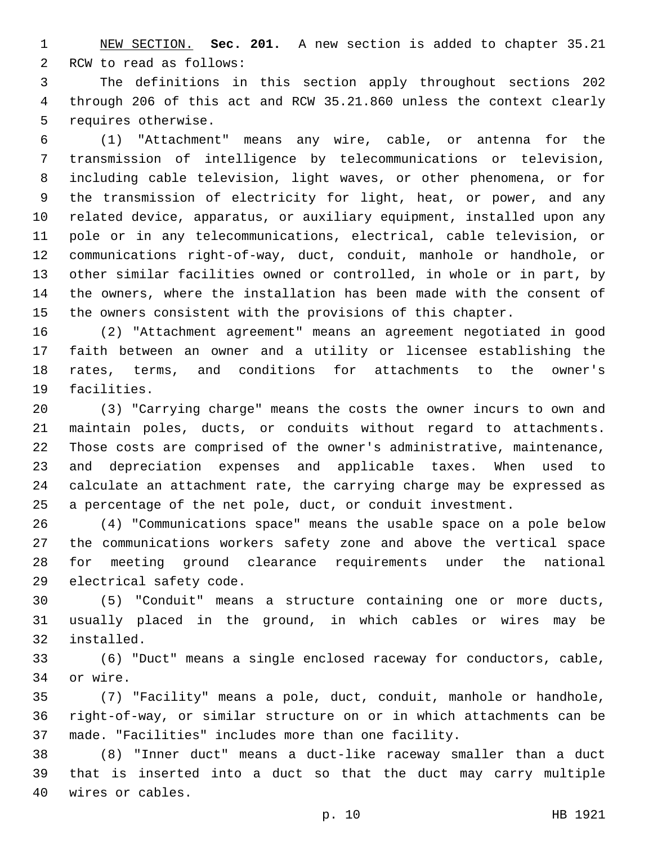NEW SECTION. **Sec. 201.** A new section is added to chapter 35.21 2 RCW to read as follows:

 The definitions in this section apply throughout sections 202 through 206 of this act and RCW 35.21.860 unless the context clearly 5 requires otherwise.

 (1) "Attachment" means any wire, cable, or antenna for the transmission of intelligence by telecommunications or television, including cable television, light waves, or other phenomena, or for the transmission of electricity for light, heat, or power, and any related device, apparatus, or auxiliary equipment, installed upon any pole or in any telecommunications, electrical, cable television, or communications right-of-way, duct, conduit, manhole or handhole, or other similar facilities owned or controlled, in whole or in part, by the owners, where the installation has been made with the consent of the owners consistent with the provisions of this chapter.

 (2) "Attachment agreement" means an agreement negotiated in good faith between an owner and a utility or licensee establishing the rates, terms, and conditions for attachments to the owner's 19 facilities.

 (3) "Carrying charge" means the costs the owner incurs to own and maintain poles, ducts, or conduits without regard to attachments. Those costs are comprised of the owner's administrative, maintenance, and depreciation expenses and applicable taxes. When used to calculate an attachment rate, the carrying charge may be expressed as a percentage of the net pole, duct, or conduit investment.

 (4) "Communications space" means the usable space on a pole below the communications workers safety zone and above the vertical space for meeting ground clearance requirements under the national 29 electrical safety code.

 (5) "Conduit" means a structure containing one or more ducts, usually placed in the ground, in which cables or wires may be 32 installed.

 (6) "Duct" means a single enclosed raceway for conductors, cable, 34 or wire.

 (7) "Facility" means a pole, duct, conduit, manhole or handhole, right-of-way, or similar structure on or in which attachments can be made. "Facilities" includes more than one facility.

 (8) "Inner duct" means a duct-like raceway smaller than a duct that is inserted into a duct so that the duct may carry multiple 40 wires or cables.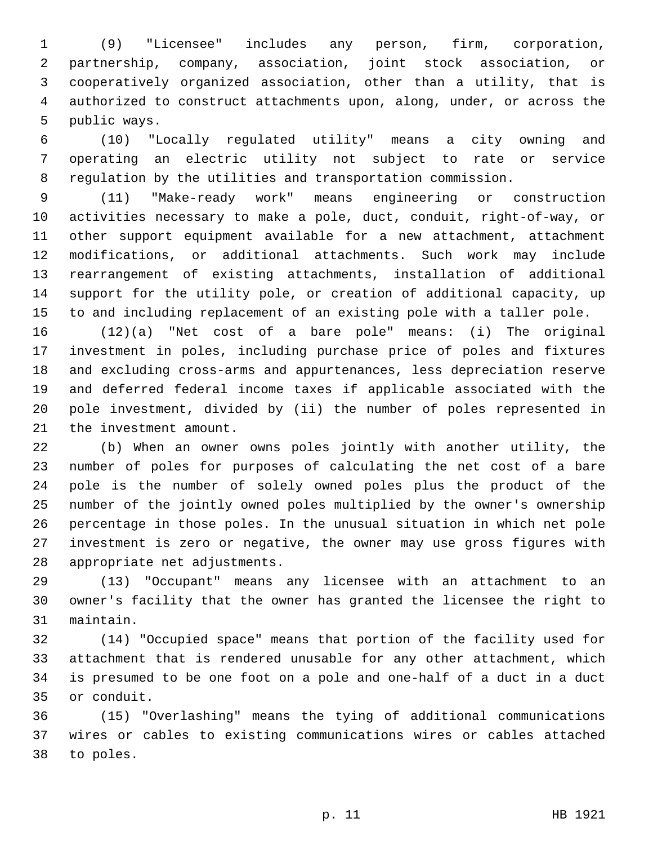(9) "Licensee" includes any person, firm, corporation, partnership, company, association, joint stock association, or cooperatively organized association, other than a utility, that is authorized to construct attachments upon, along, under, or across the 5 public ways.

 (10) "Locally regulated utility" means a city owning and operating an electric utility not subject to rate or service regulation by the utilities and transportation commission.

 (11) "Make-ready work" means engineering or construction activities necessary to make a pole, duct, conduit, right-of-way, or other support equipment available for a new attachment, attachment modifications, or additional attachments. Such work may include rearrangement of existing attachments, installation of additional support for the utility pole, or creation of additional capacity, up to and including replacement of an existing pole with a taller pole.

 (12)(a) "Net cost of a bare pole" means: (i) The original investment in poles, including purchase price of poles and fixtures and excluding cross-arms and appurtenances, less depreciation reserve and deferred federal income taxes if applicable associated with the pole investment, divided by (ii) the number of poles represented in 21 the investment amount.

 (b) When an owner owns poles jointly with another utility, the number of poles for purposes of calculating the net cost of a bare pole is the number of solely owned poles plus the product of the number of the jointly owned poles multiplied by the owner's ownership percentage in those poles. In the unusual situation in which net pole investment is zero or negative, the owner may use gross figures with 28 appropriate net adjustments.

 (13) "Occupant" means any licensee with an attachment to an owner's facility that the owner has granted the licensee the right to 31 maintain.

 (14) "Occupied space" means that portion of the facility used for attachment that is rendered unusable for any other attachment, which is presumed to be one foot on a pole and one-half of a duct in a duct 35 or conduit.

 (15) "Overlashing" means the tying of additional communications wires or cables to existing communications wires or cables attached 38 to poles.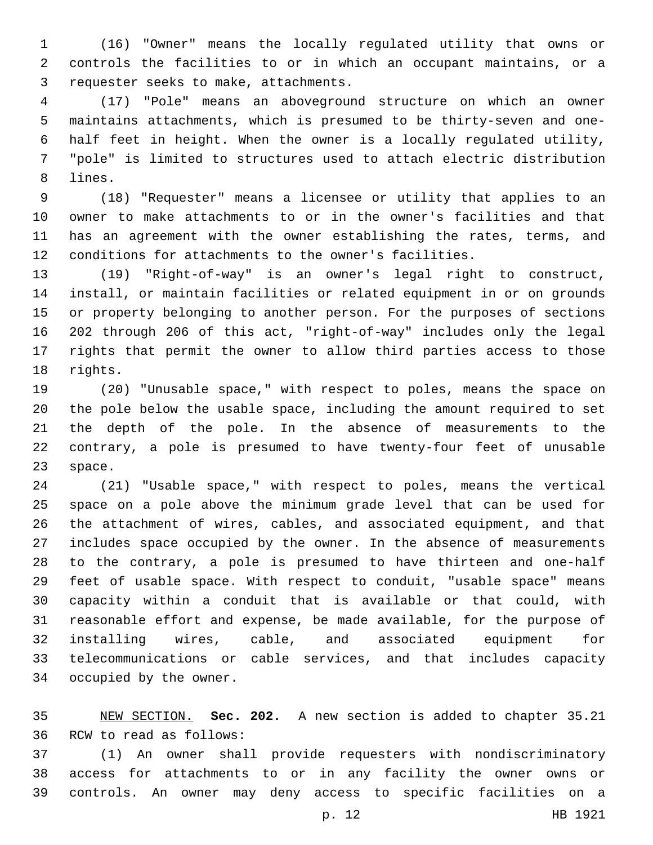(16) "Owner" means the locally regulated utility that owns or controls the facilities to or in which an occupant maintains, or a 3 requester seeks to make, attachments.

 (17) "Pole" means an aboveground structure on which an owner maintains attachments, which is presumed to be thirty-seven and one- half feet in height. When the owner is a locally regulated utility, "pole" is limited to structures used to attach electric distribution 8 lines.

 (18) "Requester" means a licensee or utility that applies to an owner to make attachments to or in the owner's facilities and that has an agreement with the owner establishing the rates, terms, and conditions for attachments to the owner's facilities.

 (19) "Right-of-way" is an owner's legal right to construct, install, or maintain facilities or related equipment in or on grounds or property belonging to another person. For the purposes of sections 202 through 206 of this act, "right-of-way" includes only the legal rights that permit the owner to allow third parties access to those 18 rights.

 (20) "Unusable space," with respect to poles, means the space on the pole below the usable space, including the amount required to set the depth of the pole. In the absence of measurements to the contrary, a pole is presumed to have twenty-four feet of unusable 23 space.

 (21) "Usable space," with respect to poles, means the vertical space on a pole above the minimum grade level that can be used for the attachment of wires, cables, and associated equipment, and that includes space occupied by the owner. In the absence of measurements to the contrary, a pole is presumed to have thirteen and one-half feet of usable space. With respect to conduit, "usable space" means capacity within a conduit that is available or that could, with reasonable effort and expense, be made available, for the purpose of installing wires, cable, and associated equipment for telecommunications or cable services, and that includes capacity 34 occupied by the owner.

 NEW SECTION. **Sec. 202.** A new section is added to chapter 35.21 36 RCW to read as follows:

 (1) An owner shall provide requesters with nondiscriminatory access for attachments to or in any facility the owner owns or controls. An owner may deny access to specific facilities on a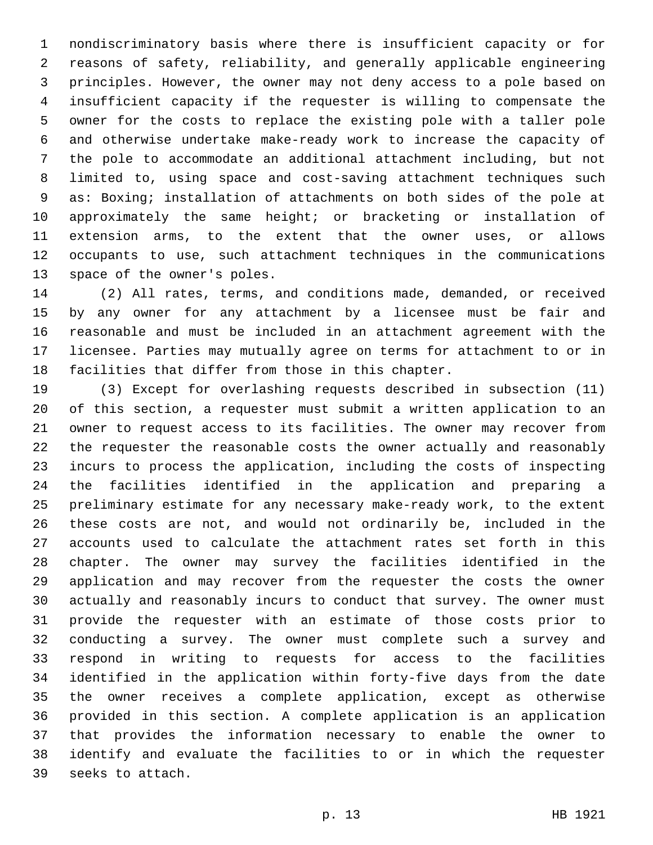nondiscriminatory basis where there is insufficient capacity or for reasons of safety, reliability, and generally applicable engineering principles. However, the owner may not deny access to a pole based on insufficient capacity if the requester is willing to compensate the owner for the costs to replace the existing pole with a taller pole and otherwise undertake make-ready work to increase the capacity of the pole to accommodate an additional attachment including, but not limited to, using space and cost-saving attachment techniques such as: Boxing; installation of attachments on both sides of the pole at approximately the same height; or bracketing or installation of extension arms, to the extent that the owner uses, or allows occupants to use, such attachment techniques in the communications 13 space of the owner's poles.

 (2) All rates, terms, and conditions made, demanded, or received by any owner for any attachment by a licensee must be fair and reasonable and must be included in an attachment agreement with the licensee. Parties may mutually agree on terms for attachment to or in facilities that differ from those in this chapter.

 (3) Except for overlashing requests described in subsection (11) of this section, a requester must submit a written application to an owner to request access to its facilities. The owner may recover from the requester the reasonable costs the owner actually and reasonably incurs to process the application, including the costs of inspecting the facilities identified in the application and preparing a preliminary estimate for any necessary make-ready work, to the extent these costs are not, and would not ordinarily be, included in the accounts used to calculate the attachment rates set forth in this chapter. The owner may survey the facilities identified in the application and may recover from the requester the costs the owner actually and reasonably incurs to conduct that survey. The owner must provide the requester with an estimate of those costs prior to conducting a survey. The owner must complete such a survey and respond in writing to requests for access to the facilities identified in the application within forty-five days from the date the owner receives a complete application, except as otherwise provided in this section. A complete application is an application that provides the information necessary to enable the owner to identify and evaluate the facilities to or in which the requester 39 seeks to attach.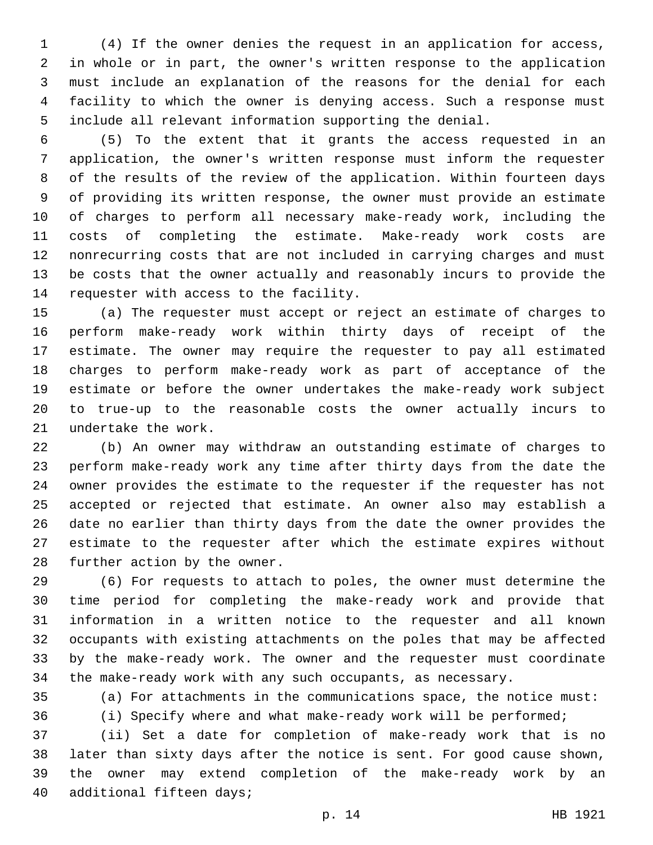(4) If the owner denies the request in an application for access, in whole or in part, the owner's written response to the application must include an explanation of the reasons for the denial for each facility to which the owner is denying access. Such a response must include all relevant information supporting the denial.

 (5) To the extent that it grants the access requested in an application, the owner's written response must inform the requester of the results of the review of the application. Within fourteen days of providing its written response, the owner must provide an estimate of charges to perform all necessary make-ready work, including the costs of completing the estimate. Make-ready work costs are nonrecurring costs that are not included in carrying charges and must be costs that the owner actually and reasonably incurs to provide the 14 requester with access to the facility.

 (a) The requester must accept or reject an estimate of charges to perform make-ready work within thirty days of receipt of the estimate. The owner may require the requester to pay all estimated charges to perform make-ready work as part of acceptance of the estimate or before the owner undertakes the make-ready work subject to true-up to the reasonable costs the owner actually incurs to 21 undertake the work.

 (b) An owner may withdraw an outstanding estimate of charges to perform make-ready work any time after thirty days from the date the owner provides the estimate to the requester if the requester has not accepted or rejected that estimate. An owner also may establish a date no earlier than thirty days from the date the owner provides the estimate to the requester after which the estimate expires without 28 further action by the owner.

 (6) For requests to attach to poles, the owner must determine the time period for completing the make-ready work and provide that information in a written notice to the requester and all known occupants with existing attachments on the poles that may be affected by the make-ready work. The owner and the requester must coordinate the make-ready work with any such occupants, as necessary.

(a) For attachments in the communications space, the notice must:

(i) Specify where and what make-ready work will be performed;

 (ii) Set a date for completion of make-ready work that is no later than sixty days after the notice is sent. For good cause shown, the owner may extend completion of the make-ready work by an 40 additional fifteen days;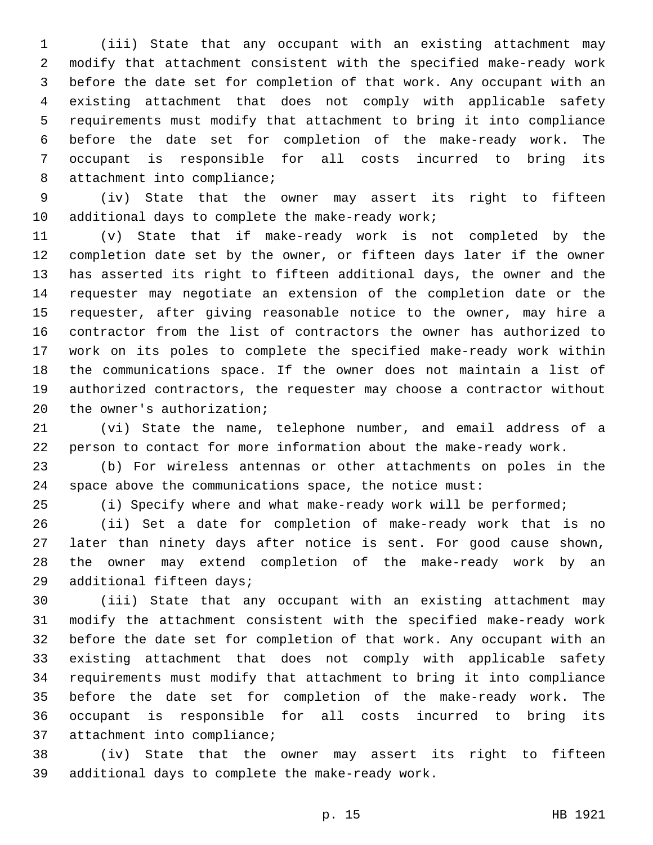(iii) State that any occupant with an existing attachment may modify that attachment consistent with the specified make-ready work before the date set for completion of that work. Any occupant with an existing attachment that does not comply with applicable safety requirements must modify that attachment to bring it into compliance before the date set for completion of the make-ready work. The occupant is responsible for all costs incurred to bring its 8 attachment into compliance;

 (iv) State that the owner may assert its right to fifteen 10 additional days to complete the make-ready work;

 (v) State that if make-ready work is not completed by the completion date set by the owner, or fifteen days later if the owner has asserted its right to fifteen additional days, the owner and the requester may negotiate an extension of the completion date or the requester, after giving reasonable notice to the owner, may hire a contractor from the list of contractors the owner has authorized to work on its poles to complete the specified make-ready work within the communications space. If the owner does not maintain a list of authorized contractors, the requester may choose a contractor without 20 the owner's authorization;

 (vi) State the name, telephone number, and email address of a person to contact for more information about the make-ready work.

 (b) For wireless antennas or other attachments on poles in the space above the communications space, the notice must:

(i) Specify where and what make-ready work will be performed;

 (ii) Set a date for completion of make-ready work that is no later than ninety days after notice is sent. For good cause shown, the owner may extend completion of the make-ready work by an 29 additional fifteen days;

 (iii) State that any occupant with an existing attachment may modify the attachment consistent with the specified make-ready work before the date set for completion of that work. Any occupant with an existing attachment that does not comply with applicable safety requirements must modify that attachment to bring it into compliance before the date set for completion of the make-ready work. The occupant is responsible for all costs incurred to bring its 37 attachment into compliance;

 (iv) State that the owner may assert its right to fifteen 39 additional days to complete the make-ready work.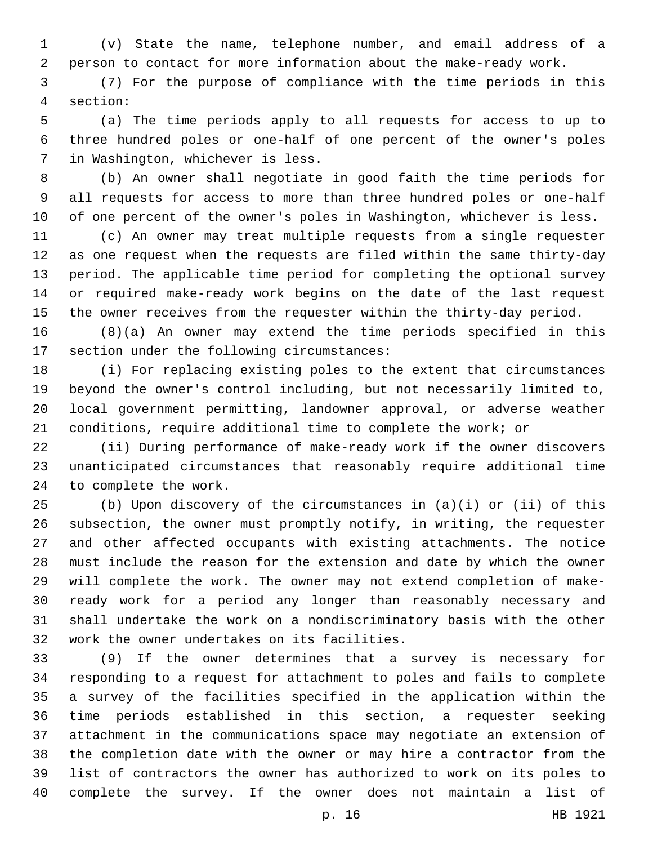(v) State the name, telephone number, and email address of a person to contact for more information about the make-ready work.

 (7) For the purpose of compliance with the time periods in this section:4

 (a) The time periods apply to all requests for access to up to three hundred poles or one-half of one percent of the owner's poles 7 in Washington, whichever is less.

 (b) An owner shall negotiate in good faith the time periods for all requests for access to more than three hundred poles or one-half of one percent of the owner's poles in Washington, whichever is less.

 (c) An owner may treat multiple requests from a single requester as one request when the requests are filed within the same thirty-day period. The applicable time period for completing the optional survey or required make-ready work begins on the date of the last request the owner receives from the requester within the thirty-day period.

 (8)(a) An owner may extend the time periods specified in this 17 section under the following circumstances:

 (i) For replacing existing poles to the extent that circumstances beyond the owner's control including, but not necessarily limited to, local government permitting, landowner approval, or adverse weather conditions, require additional time to complete the work; or

 (ii) During performance of make-ready work if the owner discovers unanticipated circumstances that reasonably require additional time 24 to complete the work.

 (b) Upon discovery of the circumstances in (a)(i) or (ii) of this subsection, the owner must promptly notify, in writing, the requester and other affected occupants with existing attachments. The notice must include the reason for the extension and date by which the owner will complete the work. The owner may not extend completion of make- ready work for a period any longer than reasonably necessary and shall undertake the work on a nondiscriminatory basis with the other 32 work the owner undertakes on its facilities.

 (9) If the owner determines that a survey is necessary for responding to a request for attachment to poles and fails to complete a survey of the facilities specified in the application within the time periods established in this section, a requester seeking attachment in the communications space may negotiate an extension of the completion date with the owner or may hire a contractor from the list of contractors the owner has authorized to work on its poles to complete the survey. If the owner does not maintain a list of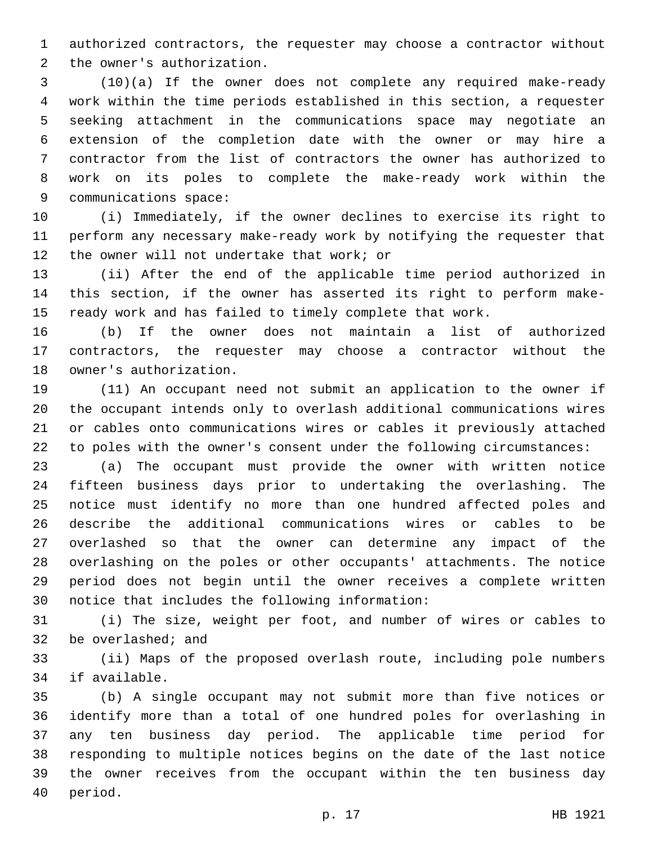authorized contractors, the requester may choose a contractor without 2 the owner's authorization.

 (10)(a) If the owner does not complete any required make-ready work within the time periods established in this section, a requester seeking attachment in the communications space may negotiate an extension of the completion date with the owner or may hire a contractor from the list of contractors the owner has authorized to work on its poles to complete the make-ready work within the 9 communications space:

 (i) Immediately, if the owner declines to exercise its right to perform any necessary make-ready work by notifying the requester that 12 the owner will not undertake that work; or

 (ii) After the end of the applicable time period authorized in this section, if the owner has asserted its right to perform make-ready work and has failed to timely complete that work.

 (b) If the owner does not maintain a list of authorized contractors, the requester may choose a contractor without the 18 owner's authorization.

 (11) An occupant need not submit an application to the owner if the occupant intends only to overlash additional communications wires or cables onto communications wires or cables it previously attached to poles with the owner's consent under the following circumstances:

 (a) The occupant must provide the owner with written notice fifteen business days prior to undertaking the overlashing. The notice must identify no more than one hundred affected poles and describe the additional communications wires or cables to be overlashed so that the owner can determine any impact of the overlashing on the poles or other occupants' attachments. The notice period does not begin until the owner receives a complete written 30 notice that includes the following information:

 (i) The size, weight per foot, and number of wires or cables to 32 be overlashed; and

 (ii) Maps of the proposed overlash route, including pole numbers 34 if available.

 (b) A single occupant may not submit more than five notices or identify more than a total of one hundred poles for overlashing in any ten business day period. The applicable time period for responding to multiple notices begins on the date of the last notice the owner receives from the occupant within the ten business day 40 period.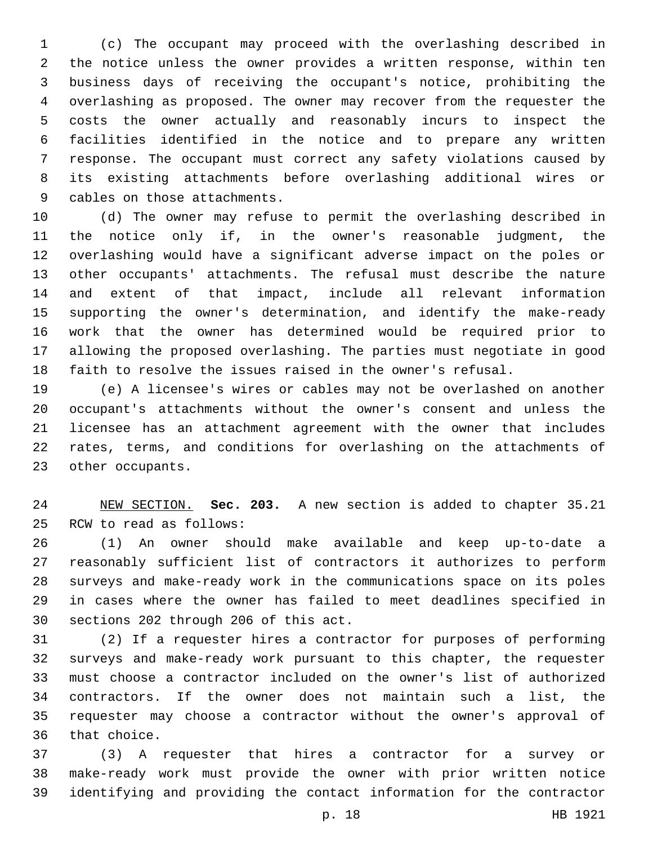(c) The occupant may proceed with the overlashing described in the notice unless the owner provides a written response, within ten business days of receiving the occupant's notice, prohibiting the overlashing as proposed. The owner may recover from the requester the costs the owner actually and reasonably incurs to inspect the facilities identified in the notice and to prepare any written response. The occupant must correct any safety violations caused by its existing attachments before overlashing additional wires or 9 cables on those attachments.

 (d) The owner may refuse to permit the overlashing described in the notice only if, in the owner's reasonable judgment, the overlashing would have a significant adverse impact on the poles or other occupants' attachments. The refusal must describe the nature and extent of that impact, include all relevant information supporting the owner's determination, and identify the make-ready work that the owner has determined would be required prior to allowing the proposed overlashing. The parties must negotiate in good faith to resolve the issues raised in the owner's refusal.

 (e) A licensee's wires or cables may not be overlashed on another occupant's attachments without the owner's consent and unless the licensee has an attachment agreement with the owner that includes rates, terms, and conditions for overlashing on the attachments of 23 other occupants.

 NEW SECTION. **Sec. 203.** A new section is added to chapter 35.21 25 RCW to read as follows:

 (1) An owner should make available and keep up-to-date a reasonably sufficient list of contractors it authorizes to perform surveys and make-ready work in the communications space on its poles in cases where the owner has failed to meet deadlines specified in 30 sections 202 through 206 of this act.

 (2) If a requester hires a contractor for purposes of performing surveys and make-ready work pursuant to this chapter, the requester must choose a contractor included on the owner's list of authorized contractors. If the owner does not maintain such a list, the requester may choose a contractor without the owner's approval of 36 that choice.

 (3) A requester that hires a contractor for a survey or make-ready work must provide the owner with prior written notice identifying and providing the contact information for the contractor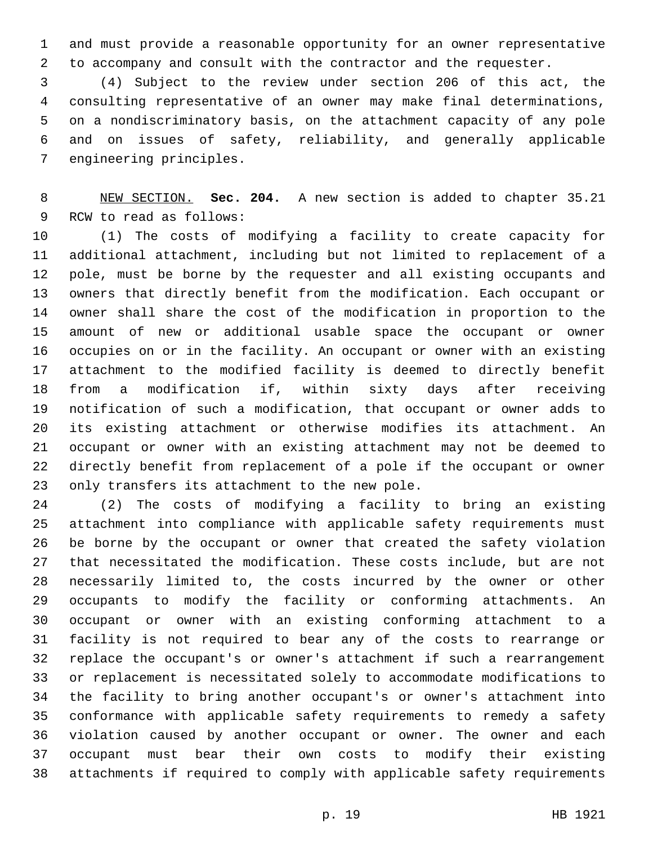and must provide a reasonable opportunity for an owner representative to accompany and consult with the contractor and the requester.

 (4) Subject to the review under section 206 of this act, the consulting representative of an owner may make final determinations, on a nondiscriminatory basis, on the attachment capacity of any pole and on issues of safety, reliability, and generally applicable 7 engineering principles.

 NEW SECTION. **Sec. 204.** A new section is added to chapter 35.21 9 RCW to read as follows:

 (1) The costs of modifying a facility to create capacity for additional attachment, including but not limited to replacement of a pole, must be borne by the requester and all existing occupants and owners that directly benefit from the modification. Each occupant or owner shall share the cost of the modification in proportion to the amount of new or additional usable space the occupant or owner occupies on or in the facility. An occupant or owner with an existing attachment to the modified facility is deemed to directly benefit from a modification if, within sixty days after receiving notification of such a modification, that occupant or owner adds to its existing attachment or otherwise modifies its attachment. An occupant or owner with an existing attachment may not be deemed to directly benefit from replacement of a pole if the occupant or owner 23 only transfers its attachment to the new pole.

 (2) The costs of modifying a facility to bring an existing attachment into compliance with applicable safety requirements must be borne by the occupant or owner that created the safety violation that necessitated the modification. These costs include, but are not necessarily limited to, the costs incurred by the owner or other occupants to modify the facility or conforming attachments. An occupant or owner with an existing conforming attachment to a facility is not required to bear any of the costs to rearrange or replace the occupant's or owner's attachment if such a rearrangement or replacement is necessitated solely to accommodate modifications to the facility to bring another occupant's or owner's attachment into conformance with applicable safety requirements to remedy a safety violation caused by another occupant or owner. The owner and each occupant must bear their own costs to modify their existing attachments if required to comply with applicable safety requirements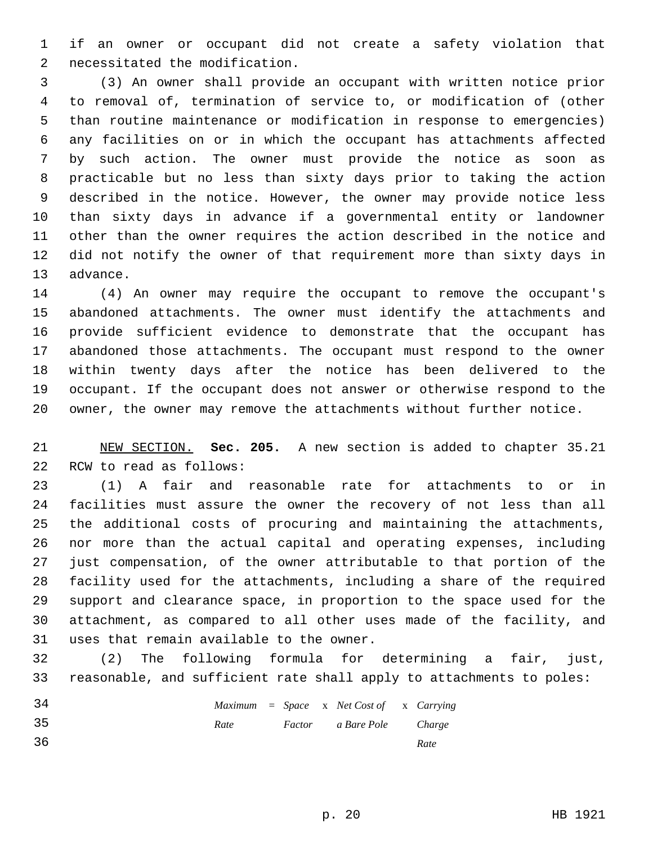if an owner or occupant did not create a safety violation that 2 necessitated the modification.

 (3) An owner shall provide an occupant with written notice prior to removal of, termination of service to, or modification of (other than routine maintenance or modification in response to emergencies) any facilities on or in which the occupant has attachments affected by such action. The owner must provide the notice as soon as practicable but no less than sixty days prior to taking the action described in the notice. However, the owner may provide notice less than sixty days in advance if a governmental entity or landowner other than the owner requires the action described in the notice and did not notify the owner of that requirement more than sixty days in 13 advance.

 (4) An owner may require the occupant to remove the occupant's abandoned attachments. The owner must identify the attachments and provide sufficient evidence to demonstrate that the occupant has abandoned those attachments. The occupant must respond to the owner within twenty days after the notice has been delivered to the occupant. If the occupant does not answer or otherwise respond to the owner, the owner may remove the attachments without further notice.

 NEW SECTION. **Sec. 205.** A new section is added to chapter 35.21 22 RCW to read as follows:

 (1) A fair and reasonable rate for attachments to or in facilities must assure the owner the recovery of not less than all the additional costs of procuring and maintaining the attachments, nor more than the actual capital and operating expenses, including just compensation, of the owner attributable to that portion of the facility used for the attachments, including a share of the required support and clearance space, in proportion to the space used for the attachment, as compared to all other uses made of the facility, and 31 uses that remain available to the owner.

 (2) The following formula for determining a fair, just, reasonable, and sufficient rate shall apply to attachments to poles:

| 34  |      |  | $Maximum = Space \times Net Cost of \times Carrying$ |      |
|-----|------|--|------------------------------------------------------|------|
| -35 | Rate |  | Factor a Bare Pole Charge                            |      |
| 36  |      |  |                                                      | Rate |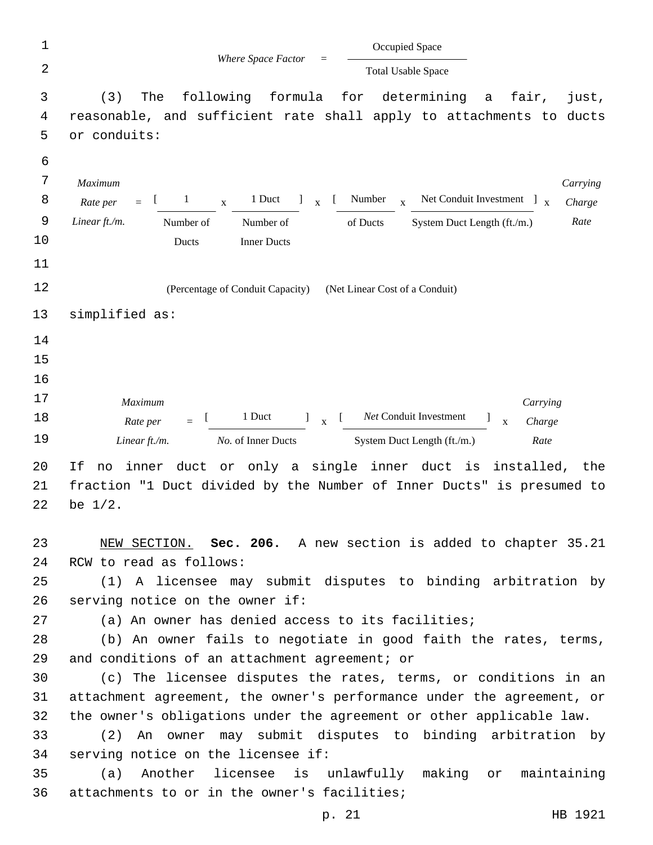| $\mathbf 1$      | Occupied Space                                                                                                                                                                                    |
|------------------|---------------------------------------------------------------------------------------------------------------------------------------------------------------------------------------------------|
| $\overline{2}$   | Where Space Factor<br><b>Total Usable Space</b>                                                                                                                                                   |
| 3                | following formula for determining a fair,<br>The<br>(3)<br>just,                                                                                                                                  |
| 4                | reasonable, and sufficient rate shall apply to attachments to ducts                                                                                                                               |
| 5                | or conduits:                                                                                                                                                                                      |
| $\epsilon$       |                                                                                                                                                                                                   |
| $\boldsymbol{7}$ | Maximum<br>Carrying                                                                                                                                                                               |
| 8                | $\begin{array}{ccc} x & 1 \text{ Duct} \\ x & \end{array}$ [ Number $\begin{array}{ccc} x & \text{Net Condition} \\ x & \text{Net Condition} \end{array}$ ]<br>$\mathbf{1}$<br>Rate per<br>Charge |
| 9                | Linear ft./m.<br>Rate<br>Number of<br>of Ducts<br>System Duct Length (ft./m.)<br>Number of                                                                                                        |
| 10               | <b>Inner Ducts</b><br>Ducts                                                                                                                                                                       |
| 11               |                                                                                                                                                                                                   |
| 12               | (Percentage of Conduit Capacity) (Net Linear Cost of a Conduit)                                                                                                                                   |
| 13               | simplified as:                                                                                                                                                                                    |
| 14               |                                                                                                                                                                                                   |
| 15               |                                                                                                                                                                                                   |
| 16               |                                                                                                                                                                                                   |
| 17               | Maximum<br>Carrying                                                                                                                                                                               |
| 18               | 1 Duct 1 x [ Net Conduit Investment<br>$\Box$<br>$\mathbf X$<br>Rate per<br>Charge<br>$=$                                                                                                         |
| 19               | No. of Inner Ducts<br>System Duct Length (ft./m.)<br>Linear ft./m.<br>Rate                                                                                                                        |
| 20               | If<br>duct or only a single inner duct is installed,<br>inner<br>no<br>the                                                                                                                        |
| 21               | fraction "1 Duct divided by the Number of Inner Ducts" is presumed to                                                                                                                             |
| 22               | be $1/2$ .                                                                                                                                                                                        |
| 23               | NEW SECTION. Sec. 206. A new section is added to chapter 35.21                                                                                                                                    |
| 24               | RCW to read as follows:                                                                                                                                                                           |
| 25               | (1) A licensee may submit disputes to binding arbitration by                                                                                                                                      |
| 26               | serving notice on the owner if:                                                                                                                                                                   |
| 27               | (a) An owner has denied access to its facilities;                                                                                                                                                 |
| 28               | (b) An owner fails to negotiate in good faith the rates, terms,                                                                                                                                   |
| 29               | and conditions of an attachment agreement; or                                                                                                                                                     |
| 30               | (c) The licensee disputes the rates, terms, or conditions in an                                                                                                                                   |
| 31               | attachment agreement, the owner's performance under the agreement, or                                                                                                                             |
| 32               | the owner's obligations under the agreement or other applicable law.                                                                                                                              |
| 33               | (2) An owner may submit disputes to binding arbitration by                                                                                                                                        |
| 34               | serving notice on the licensee if:                                                                                                                                                                |
| 35               | Another licensee is unlawfully making or<br>maintaining<br>(a)                                                                                                                                    |
| 36               | attachments to or in the owner's facilities;                                                                                                                                                      |
|                  | p. 21<br>HB 1921                                                                                                                                                                                  |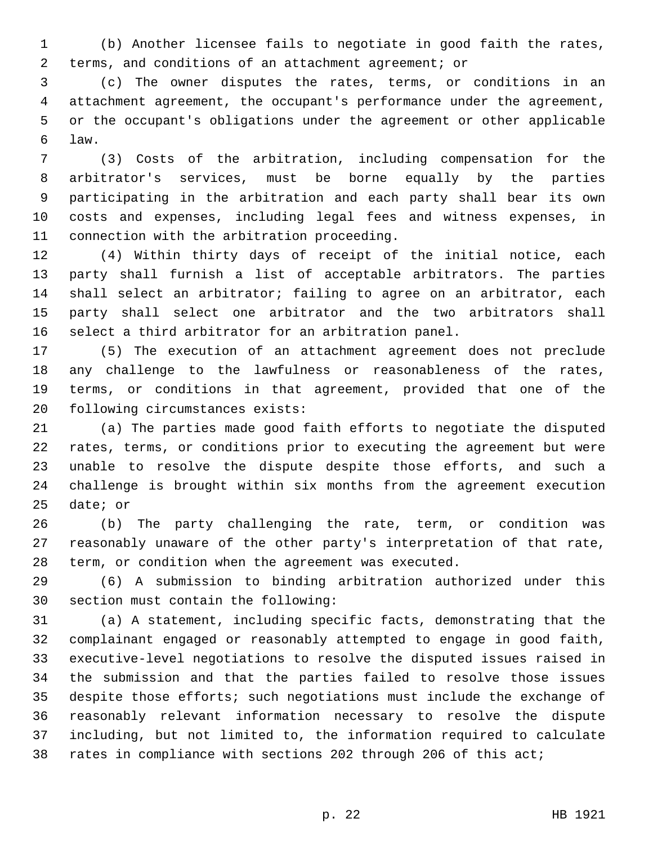(b) Another licensee fails to negotiate in good faith the rates, terms, and conditions of an attachment agreement; or

 (c) The owner disputes the rates, terms, or conditions in an attachment agreement, the occupant's performance under the agreement, or the occupant's obligations under the agreement or other applicable law.6

 (3) Costs of the arbitration, including compensation for the arbitrator's services, must be borne equally by the parties participating in the arbitration and each party shall bear its own costs and expenses, including legal fees and witness expenses, in 11 connection with the arbitration proceeding.

 (4) Within thirty days of receipt of the initial notice, each party shall furnish a list of acceptable arbitrators. The parties shall select an arbitrator; failing to agree on an arbitrator, each party shall select one arbitrator and the two arbitrators shall select a third arbitrator for an arbitration panel.

 (5) The execution of an attachment agreement does not preclude any challenge to the lawfulness or reasonableness of the rates, terms, or conditions in that agreement, provided that one of the 20 following circumstances exists:

 (a) The parties made good faith efforts to negotiate the disputed rates, terms, or conditions prior to executing the agreement but were unable to resolve the dispute despite those efforts, and such a challenge is brought within six months from the agreement execution 25 date; or

 (b) The party challenging the rate, term, or condition was reasonably unaware of the other party's interpretation of that rate, term, or condition when the agreement was executed.

 (6) A submission to binding arbitration authorized under this 30 section must contain the following:

 (a) A statement, including specific facts, demonstrating that the complainant engaged or reasonably attempted to engage in good faith, executive-level negotiations to resolve the disputed issues raised in the submission and that the parties failed to resolve those issues despite those efforts; such negotiations must include the exchange of reasonably relevant information necessary to resolve the dispute including, but not limited to, the information required to calculate rates in compliance with sections 202 through 206 of this act;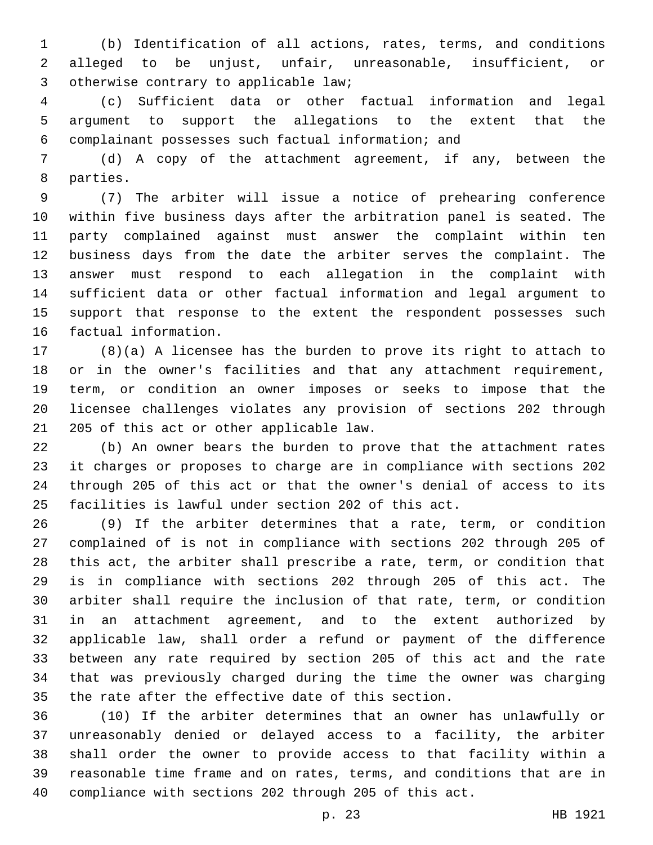(b) Identification of all actions, rates, terms, and conditions alleged to be unjust, unfair, unreasonable, insufficient, or 3 otherwise contrary to applicable law;

 (c) Sufficient data or other factual information and legal argument to support the allegations to the extent that the complainant possesses such factual information; and

 (d) A copy of the attachment agreement, if any, between the 8 parties.

 (7) The arbiter will issue a notice of prehearing conference within five business days after the arbitration panel is seated. The party complained against must answer the complaint within ten business days from the date the arbiter serves the complaint. The answer must respond to each allegation in the complaint with sufficient data or other factual information and legal argument to 15 support that response to the extent the respondent possesses such 16 factual information.

 (8)(a) A licensee has the burden to prove its right to attach to or in the owner's facilities and that any attachment requirement, term, or condition an owner imposes or seeks to impose that the licensee challenges violates any provision of sections 202 through 21 205 of this act or other applicable law.

 (b) An owner bears the burden to prove that the attachment rates it charges or proposes to charge are in compliance with sections 202 through 205 of this act or that the owner's denial of access to its facilities is lawful under section 202 of this act.

 (9) If the arbiter determines that a rate, term, or condition complained of is not in compliance with sections 202 through 205 of this act, the arbiter shall prescribe a rate, term, or condition that is in compliance with sections 202 through 205 of this act. The arbiter shall require the inclusion of that rate, term, or condition in an attachment agreement, and to the extent authorized by applicable law, shall order a refund or payment of the difference between any rate required by section 205 of this act and the rate that was previously charged during the time the owner was charging the rate after the effective date of this section.

 (10) If the arbiter determines that an owner has unlawfully or unreasonably denied or delayed access to a facility, the arbiter shall order the owner to provide access to that facility within a reasonable time frame and on rates, terms, and conditions that are in compliance with sections 202 through 205 of this act.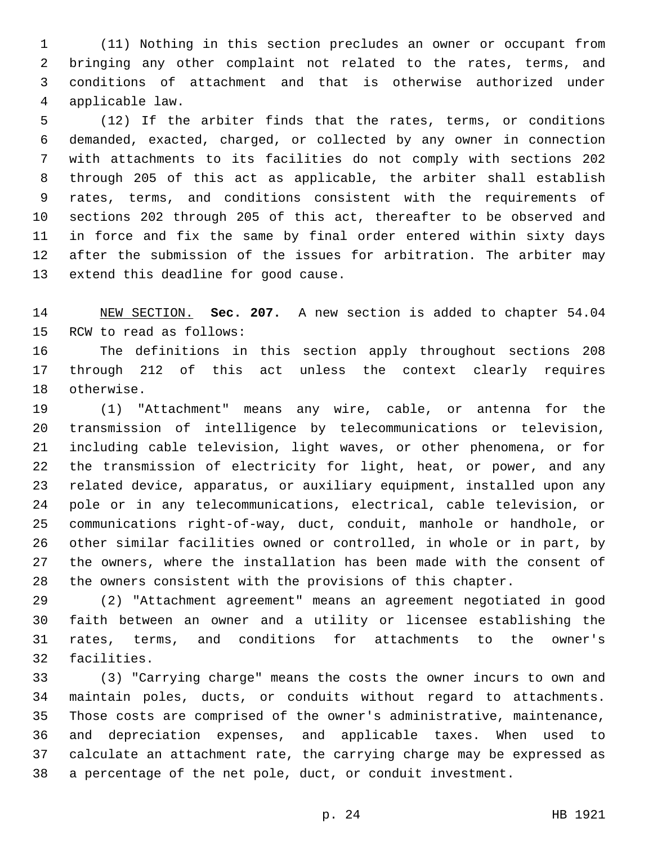(11) Nothing in this section precludes an owner or occupant from bringing any other complaint not related to the rates, terms, and conditions of attachment and that is otherwise authorized under applicable law.4

 (12) If the arbiter finds that the rates, terms, or conditions demanded, exacted, charged, or collected by any owner in connection with attachments to its facilities do not comply with sections 202 through 205 of this act as applicable, the arbiter shall establish rates, terms, and conditions consistent with the requirements of sections 202 through 205 of this act, thereafter to be observed and in force and fix the same by final order entered within sixty days after the submission of the issues for arbitration. The arbiter may 13 extend this deadline for good cause.

 NEW SECTION. **Sec. 207.** A new section is added to chapter 54.04 15 RCW to read as follows:

 The definitions in this section apply throughout sections 208 through 212 of this act unless the context clearly requires 18 otherwise.

 (1) "Attachment" means any wire, cable, or antenna for the transmission of intelligence by telecommunications or television, including cable television, light waves, or other phenomena, or for the transmission of electricity for light, heat, or power, and any related device, apparatus, or auxiliary equipment, installed upon any pole or in any telecommunications, electrical, cable television, or communications right-of-way, duct, conduit, manhole or handhole, or other similar facilities owned or controlled, in whole or in part, by the owners, where the installation has been made with the consent of the owners consistent with the provisions of this chapter.

 (2) "Attachment agreement" means an agreement negotiated in good faith between an owner and a utility or licensee establishing the rates, terms, and conditions for attachments to the owner's 32 facilities.

 (3) "Carrying charge" means the costs the owner incurs to own and maintain poles, ducts, or conduits without regard to attachments. Those costs are comprised of the owner's administrative, maintenance, and depreciation expenses, and applicable taxes. When used to calculate an attachment rate, the carrying charge may be expressed as a percentage of the net pole, duct, or conduit investment.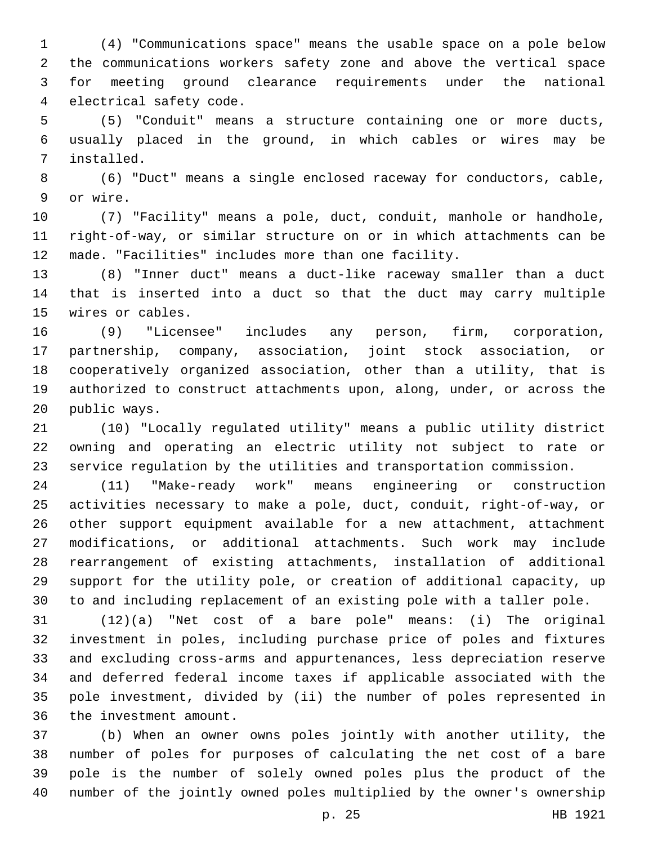(4) "Communications space" means the usable space on a pole below the communications workers safety zone and above the vertical space for meeting ground clearance requirements under the national 4 electrical safety code.

 (5) "Conduit" means a structure containing one or more ducts, usually placed in the ground, in which cables or wires may be 7 installed.

 (6) "Duct" means a single enclosed raceway for conductors, cable, 9 or wire.

 (7) "Facility" means a pole, duct, conduit, manhole or handhole, right-of-way, or similar structure on or in which attachments can be made. "Facilities" includes more than one facility.

 (8) "Inner duct" means a duct-like raceway smaller than a duct that is inserted into a duct so that the duct may carry multiple 15 wires or cables.

 (9) "Licensee" includes any person, firm, corporation, partnership, company, association, joint stock association, or cooperatively organized association, other than a utility, that is authorized to construct attachments upon, along, under, or across the 20 public ways.

 (10) "Locally regulated utility" means a public utility district owning and operating an electric utility not subject to rate or service regulation by the utilities and transportation commission.

 (11) "Make-ready work" means engineering or construction activities necessary to make a pole, duct, conduit, right-of-way, or other support equipment available for a new attachment, attachment modifications, or additional attachments. Such work may include rearrangement of existing attachments, installation of additional support for the utility pole, or creation of additional capacity, up to and including replacement of an existing pole with a taller pole.

 (12)(a) "Net cost of a bare pole" means: (i) The original investment in poles, including purchase price of poles and fixtures and excluding cross-arms and appurtenances, less depreciation reserve and deferred federal income taxes if applicable associated with the pole investment, divided by (ii) the number of poles represented in 36 the investment amount.

 (b) When an owner owns poles jointly with another utility, the number of poles for purposes of calculating the net cost of a bare pole is the number of solely owned poles plus the product of the number of the jointly owned poles multiplied by the owner's ownership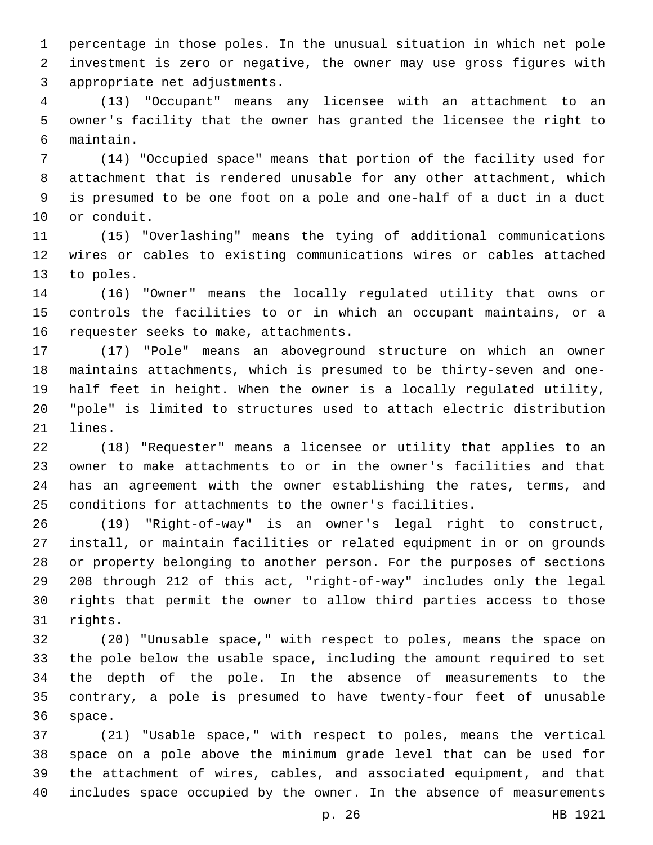percentage in those poles. In the unusual situation in which net pole investment is zero or negative, the owner may use gross figures with 3 appropriate net adjustments.

 (13) "Occupant" means any licensee with an attachment to an owner's facility that the owner has granted the licensee the right to maintain.6

 (14) "Occupied space" means that portion of the facility used for attachment that is rendered unusable for any other attachment, which is presumed to be one foot on a pole and one-half of a duct in a duct 10 or conduit.

 (15) "Overlashing" means the tying of additional communications wires or cables to existing communications wires or cables attached 13 to poles.

 (16) "Owner" means the locally regulated utility that owns or controls the facilities to or in which an occupant maintains, or a 16 requester seeks to make, attachments.

 (17) "Pole" means an aboveground structure on which an owner maintains attachments, which is presumed to be thirty-seven and one- half feet in height. When the owner is a locally regulated utility, "pole" is limited to structures used to attach electric distribution 21 lines.

 (18) "Requester" means a licensee or utility that applies to an owner to make attachments to or in the owner's facilities and that has an agreement with the owner establishing the rates, terms, and conditions for attachments to the owner's facilities.

 (19) "Right-of-way" is an owner's legal right to construct, install, or maintain facilities or related equipment in or on grounds or property belonging to another person. For the purposes of sections 208 through 212 of this act, "right-of-way" includes only the legal rights that permit the owner to allow third parties access to those 31 rights.

 (20) "Unusable space," with respect to poles, means the space on the pole below the usable space, including the amount required to set the depth of the pole. In the absence of measurements to the contrary, a pole is presumed to have twenty-four feet of unusable 36 space.

 (21) "Usable space," with respect to poles, means the vertical space on a pole above the minimum grade level that can be used for the attachment of wires, cables, and associated equipment, and that includes space occupied by the owner. In the absence of measurements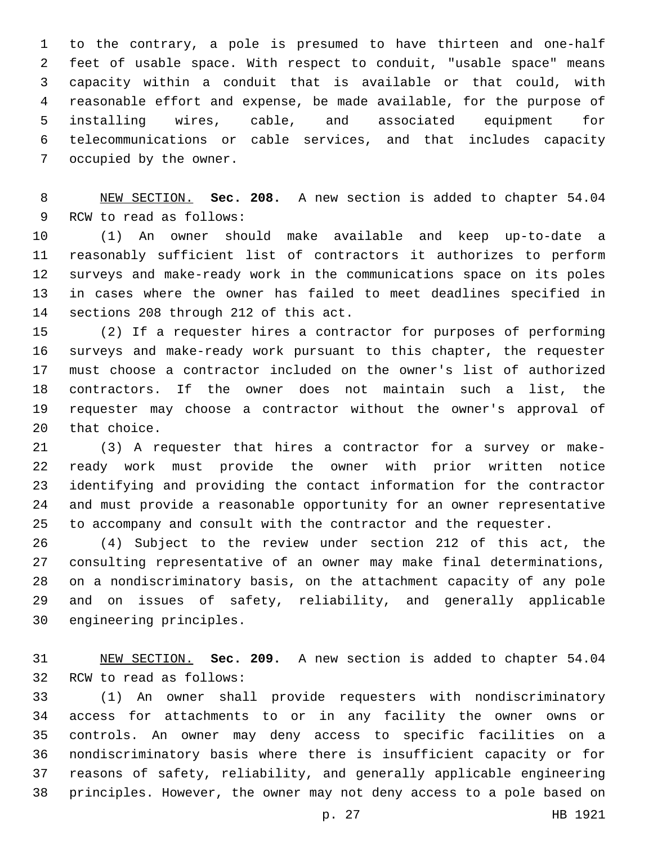to the contrary, a pole is presumed to have thirteen and one-half feet of usable space. With respect to conduit, "usable space" means capacity within a conduit that is available or that could, with reasonable effort and expense, be made available, for the purpose of installing wires, cable, and associated equipment for telecommunications or cable services, and that includes capacity 7 occupied by the owner.

 NEW SECTION. **Sec. 208.** A new section is added to chapter 54.04 9 RCW to read as follows:

 (1) An owner should make available and keep up-to-date a reasonably sufficient list of contractors it authorizes to perform surveys and make-ready work in the communications space on its poles in cases where the owner has failed to meet deadlines specified in 14 sections 208 through 212 of this act.

 (2) If a requester hires a contractor for purposes of performing surveys and make-ready work pursuant to this chapter, the requester must choose a contractor included on the owner's list of authorized contractors. If the owner does not maintain such a list, the requester may choose a contractor without the owner's approval of 20 that choice.

 (3) A requester that hires a contractor for a survey or make- ready work must provide the owner with prior written notice identifying and providing the contact information for the contractor and must provide a reasonable opportunity for an owner representative to accompany and consult with the contractor and the requester.

 (4) Subject to the review under section 212 of this act, the consulting representative of an owner may make final determinations, on a nondiscriminatory basis, on the attachment capacity of any pole and on issues of safety, reliability, and generally applicable 30 engineering principles.

 NEW SECTION. **Sec. 209.** A new section is added to chapter 54.04 32 RCW to read as follows:

 (1) An owner shall provide requesters with nondiscriminatory access for attachments to or in any facility the owner owns or controls. An owner may deny access to specific facilities on a nondiscriminatory basis where there is insufficient capacity or for reasons of safety, reliability, and generally applicable engineering principles. However, the owner may not deny access to a pole based on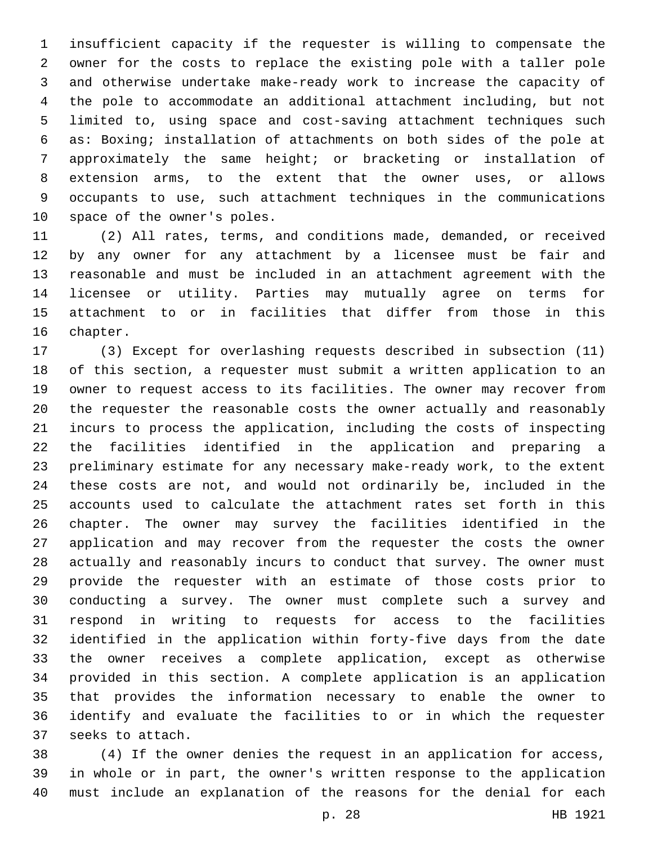insufficient capacity if the requester is willing to compensate the owner for the costs to replace the existing pole with a taller pole and otherwise undertake make-ready work to increase the capacity of the pole to accommodate an additional attachment including, but not limited to, using space and cost-saving attachment techniques such as: Boxing; installation of attachments on both sides of the pole at approximately the same height; or bracketing or installation of extension arms, to the extent that the owner uses, or allows occupants to use, such attachment techniques in the communications 10 space of the owner's poles.

 (2) All rates, terms, and conditions made, demanded, or received by any owner for any attachment by a licensee must be fair and reasonable and must be included in an attachment agreement with the licensee or utility. Parties may mutually agree on terms for attachment to or in facilities that differ from those in this 16 chapter.

 (3) Except for overlashing requests described in subsection (11) of this section, a requester must submit a written application to an owner to request access to its facilities. The owner may recover from the requester the reasonable costs the owner actually and reasonably incurs to process the application, including the costs of inspecting the facilities identified in the application and preparing a preliminary estimate for any necessary make-ready work, to the extent these costs are not, and would not ordinarily be, included in the accounts used to calculate the attachment rates set forth in this chapter. The owner may survey the facilities identified in the application and may recover from the requester the costs the owner actually and reasonably incurs to conduct that survey. The owner must provide the requester with an estimate of those costs prior to conducting a survey. The owner must complete such a survey and respond in writing to requests for access to the facilities identified in the application within forty-five days from the date the owner receives a complete application, except as otherwise provided in this section. A complete application is an application that provides the information necessary to enable the owner to identify and evaluate the facilities to or in which the requester 37 seeks to attach.

 (4) If the owner denies the request in an application for access, in whole or in part, the owner's written response to the application must include an explanation of the reasons for the denial for each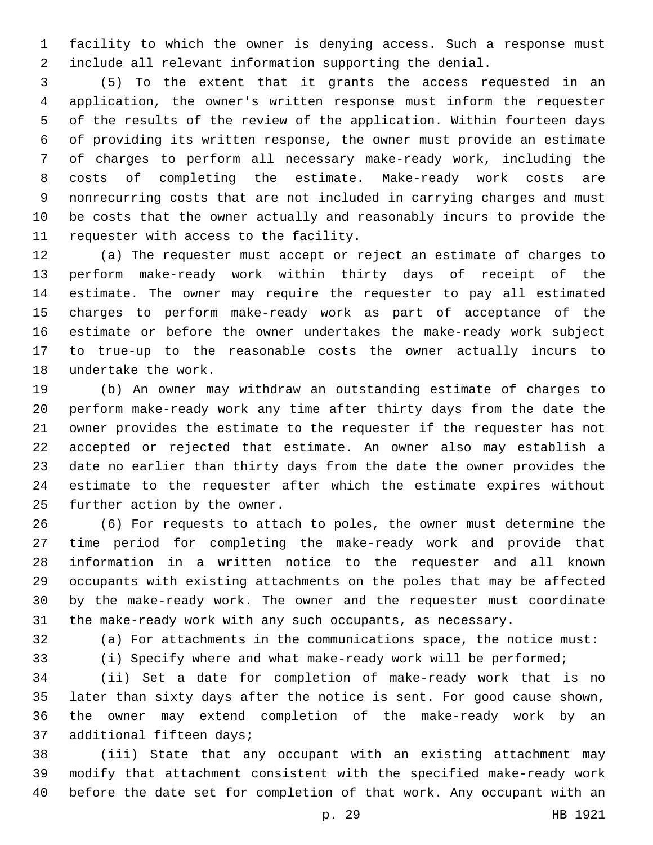facility to which the owner is denying access. Such a response must include all relevant information supporting the denial.

 (5) To the extent that it grants the access requested in an application, the owner's written response must inform the requester of the results of the review of the application. Within fourteen days of providing its written response, the owner must provide an estimate of charges to perform all necessary make-ready work, including the costs of completing the estimate. Make-ready work costs are nonrecurring costs that are not included in carrying charges and must be costs that the owner actually and reasonably incurs to provide the 11 requester with access to the facility.

 (a) The requester must accept or reject an estimate of charges to perform make-ready work within thirty days of receipt of the estimate. The owner may require the requester to pay all estimated charges to perform make-ready work as part of acceptance of the estimate or before the owner undertakes the make-ready work subject to true-up to the reasonable costs the owner actually incurs to 18 undertake the work.

 (b) An owner may withdraw an outstanding estimate of charges to perform make-ready work any time after thirty days from the date the owner provides the estimate to the requester if the requester has not accepted or rejected that estimate. An owner also may establish a date no earlier than thirty days from the date the owner provides the estimate to the requester after which the estimate expires without 25 further action by the owner.

 (6) For requests to attach to poles, the owner must determine the time period for completing the make-ready work and provide that information in a written notice to the requester and all known occupants with existing attachments on the poles that may be affected by the make-ready work. The owner and the requester must coordinate the make-ready work with any such occupants, as necessary.

(a) For attachments in the communications space, the notice must:

(i) Specify where and what make-ready work will be performed;

 (ii) Set a date for completion of make-ready work that is no later than sixty days after the notice is sent. For good cause shown, the owner may extend completion of the make-ready work by an 37 additional fifteen days;

 (iii) State that any occupant with an existing attachment may modify that attachment consistent with the specified make-ready work before the date set for completion of that work. Any occupant with an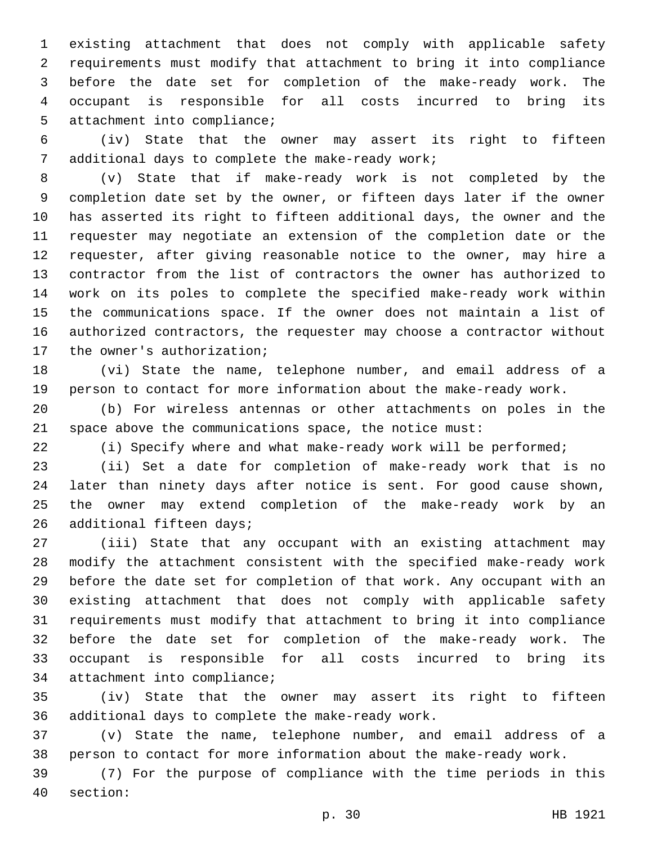existing attachment that does not comply with applicable safety requirements must modify that attachment to bring it into compliance before the date set for completion of the make-ready work. The occupant is responsible for all costs incurred to bring its 5 attachment into compliance;

 (iv) State that the owner may assert its right to fifteen 7 additional days to complete the make-ready work;

 (v) State that if make-ready work is not completed by the completion date set by the owner, or fifteen days later if the owner has asserted its right to fifteen additional days, the owner and the requester may negotiate an extension of the completion date or the requester, after giving reasonable notice to the owner, may hire a contractor from the list of contractors the owner has authorized to work on its poles to complete the specified make-ready work within the communications space. If the owner does not maintain a list of authorized contractors, the requester may choose a contractor without 17 the owner's authorization;

 (vi) State the name, telephone number, and email address of a person to contact for more information about the make-ready work.

 (b) For wireless antennas or other attachments on poles in the space above the communications space, the notice must:

(i) Specify where and what make-ready work will be performed;

 (ii) Set a date for completion of make-ready work that is no later than ninety days after notice is sent. For good cause shown, the owner may extend completion of the make-ready work by an 26 additional fifteen days;

 (iii) State that any occupant with an existing attachment may modify the attachment consistent with the specified make-ready work before the date set for completion of that work. Any occupant with an existing attachment that does not comply with applicable safety requirements must modify that attachment to bring it into compliance before the date set for completion of the make-ready work. The occupant is responsible for all costs incurred to bring its 34 attachment into compliance;

 (iv) State that the owner may assert its right to fifteen 36 additional days to complete the make-ready work.

 (v) State the name, telephone number, and email address of a person to contact for more information about the make-ready work.

 (7) For the purpose of compliance with the time periods in this 40 section: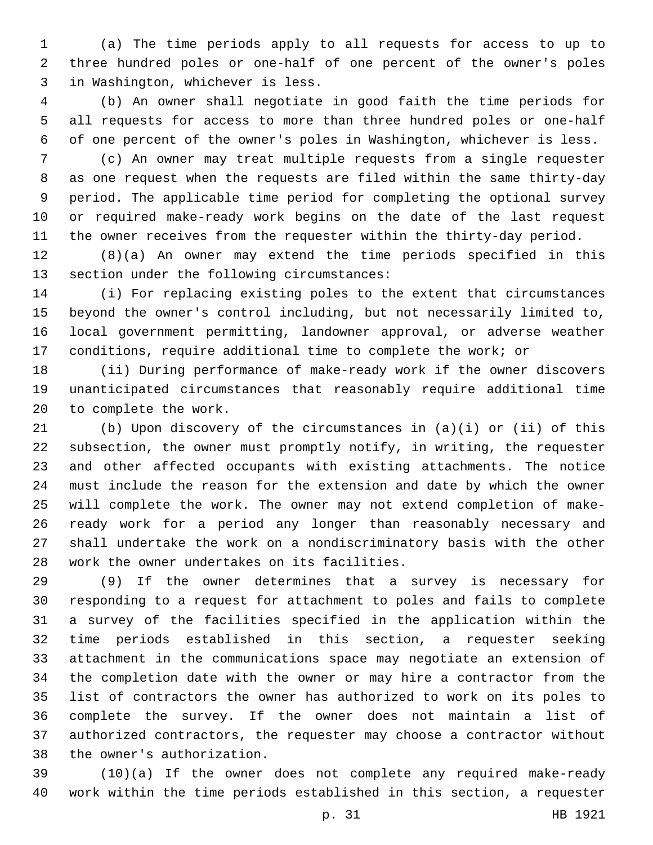(a) The time periods apply to all requests for access to up to three hundred poles or one-half of one percent of the owner's poles 3 in Washington, whichever is less.

 (b) An owner shall negotiate in good faith the time periods for all requests for access to more than three hundred poles or one-half of one percent of the owner's poles in Washington, whichever is less.

 (c) An owner may treat multiple requests from a single requester as one request when the requests are filed within the same thirty-day period. The applicable time period for completing the optional survey or required make-ready work begins on the date of the last request the owner receives from the requester within the thirty-day period.

 (8)(a) An owner may extend the time periods specified in this 13 section under the following circumstances:

 (i) For replacing existing poles to the extent that circumstances beyond the owner's control including, but not necessarily limited to, local government permitting, landowner approval, or adverse weather conditions, require additional time to complete the work; or

 (ii) During performance of make-ready work if the owner discovers unanticipated circumstances that reasonably require additional time 20 to complete the work.

 (b) Upon discovery of the circumstances in (a)(i) or (ii) of this subsection, the owner must promptly notify, in writing, the requester and other affected occupants with existing attachments. The notice must include the reason for the extension and date by which the owner will complete the work. The owner may not extend completion of make- ready work for a period any longer than reasonably necessary and shall undertake the work on a nondiscriminatory basis with the other 28 work the owner undertakes on its facilities.

 (9) If the owner determines that a survey is necessary for responding to a request for attachment to poles and fails to complete a survey of the facilities specified in the application within the time periods established in this section, a requester seeking attachment in the communications space may negotiate an extension of the completion date with the owner or may hire a contractor from the list of contractors the owner has authorized to work on its poles to complete the survey. If the owner does not maintain a list of authorized contractors, the requester may choose a contractor without 38 the owner's authorization.

 (10)(a) If the owner does not complete any required make-ready work within the time periods established in this section, a requester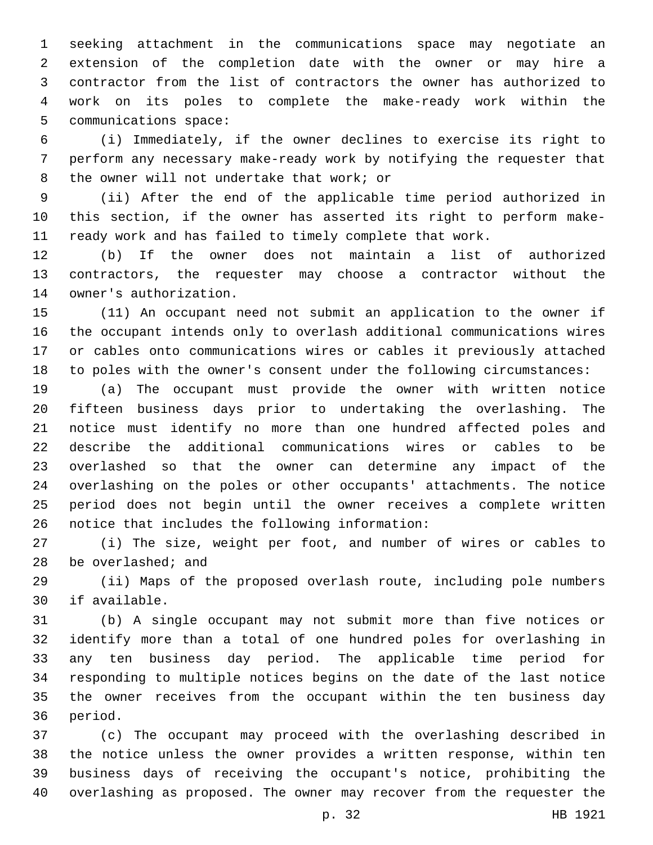seeking attachment in the communications space may negotiate an extension of the completion date with the owner or may hire a contractor from the list of contractors the owner has authorized to work on its poles to complete the make-ready work within the 5 communications space:

 (i) Immediately, if the owner declines to exercise its right to perform any necessary make-ready work by notifying the requester that 8 the owner will not undertake that work; or

 (ii) After the end of the applicable time period authorized in this section, if the owner has asserted its right to perform make-ready work and has failed to timely complete that work.

 (b) If the owner does not maintain a list of authorized contractors, the requester may choose a contractor without the 14 owner's authorization.

 (11) An occupant need not submit an application to the owner if the occupant intends only to overlash additional communications wires or cables onto communications wires or cables it previously attached to poles with the owner's consent under the following circumstances:

 (a) The occupant must provide the owner with written notice fifteen business days prior to undertaking the overlashing. The notice must identify no more than one hundred affected poles and describe the additional communications wires or cables to be overlashed so that the owner can determine any impact of the overlashing on the poles or other occupants' attachments. The notice period does not begin until the owner receives a complete written 26 notice that includes the following information:

 (i) The size, weight per foot, and number of wires or cables to be overlashed; and

 (ii) Maps of the proposed overlash route, including pole numbers 30 if available.

 (b) A single occupant may not submit more than five notices or identify more than a total of one hundred poles for overlashing in any ten business day period. The applicable time period for responding to multiple notices begins on the date of the last notice the owner receives from the occupant within the ten business day 36 period.

 (c) The occupant may proceed with the overlashing described in the notice unless the owner provides a written response, within ten business days of receiving the occupant's notice, prohibiting the overlashing as proposed. The owner may recover from the requester the

p. 32 HB 1921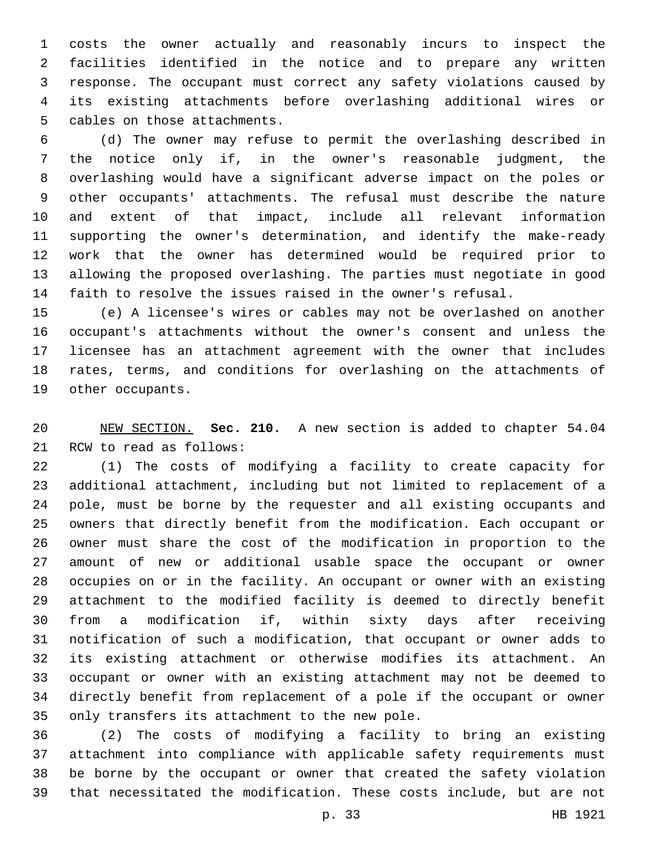costs the owner actually and reasonably incurs to inspect the facilities identified in the notice and to prepare any written response. The occupant must correct any safety violations caused by its existing attachments before overlashing additional wires or 5 cables on those attachments.

 (d) The owner may refuse to permit the overlashing described in the notice only if, in the owner's reasonable judgment, the overlashing would have a significant adverse impact on the poles or other occupants' attachments. The refusal must describe the nature and extent of that impact, include all relevant information supporting the owner's determination, and identify the make-ready work that the owner has determined would be required prior to allowing the proposed overlashing. The parties must negotiate in good faith to resolve the issues raised in the owner's refusal.

 (e) A licensee's wires or cables may not be overlashed on another occupant's attachments without the owner's consent and unless the licensee has an attachment agreement with the owner that includes rates, terms, and conditions for overlashing on the attachments of 19 other occupants.

 NEW SECTION. **Sec. 210.** A new section is added to chapter 54.04 21 RCW to read as follows:

 (1) The costs of modifying a facility to create capacity for additional attachment, including but not limited to replacement of a pole, must be borne by the requester and all existing occupants and owners that directly benefit from the modification. Each occupant or owner must share the cost of the modification in proportion to the amount of new or additional usable space the occupant or owner occupies on or in the facility. An occupant or owner with an existing attachment to the modified facility is deemed to directly benefit from a modification if, within sixty days after receiving notification of such a modification, that occupant or owner adds to its existing attachment or otherwise modifies its attachment. An occupant or owner with an existing attachment may not be deemed to directly benefit from replacement of a pole if the occupant or owner 35 only transfers its attachment to the new pole.

 (2) The costs of modifying a facility to bring an existing attachment into compliance with applicable safety requirements must be borne by the occupant or owner that created the safety violation that necessitated the modification. These costs include, but are not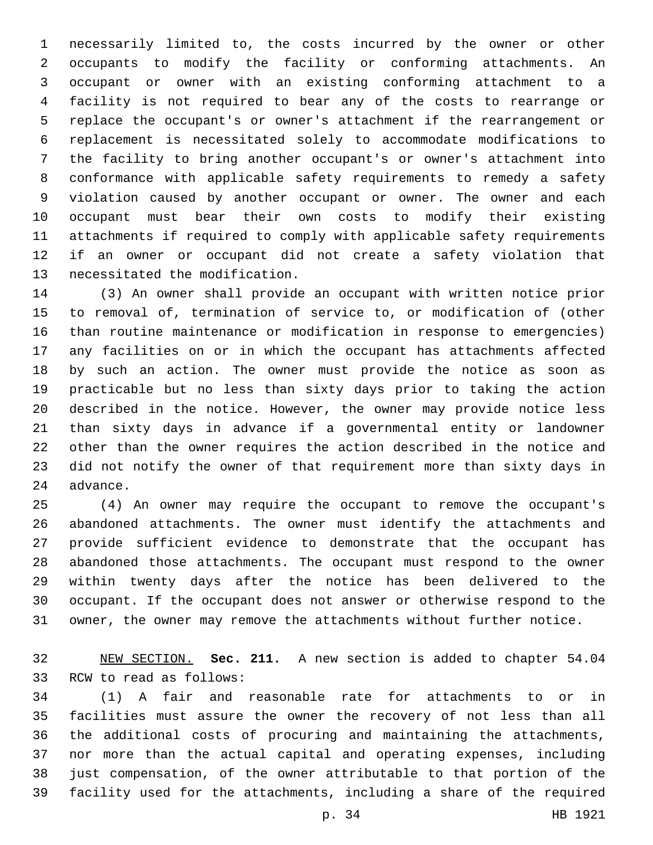necessarily limited to, the costs incurred by the owner or other occupants to modify the facility or conforming attachments. An occupant or owner with an existing conforming attachment to a facility is not required to bear any of the costs to rearrange or replace the occupant's or owner's attachment if the rearrangement or replacement is necessitated solely to accommodate modifications to the facility to bring another occupant's or owner's attachment into conformance with applicable safety requirements to remedy a safety violation caused by another occupant or owner. The owner and each occupant must bear their own costs to modify their existing attachments if required to comply with applicable safety requirements if an owner or occupant did not create a safety violation that 13 necessitated the modification.

 (3) An owner shall provide an occupant with written notice prior to removal of, termination of service to, or modification of (other than routine maintenance or modification in response to emergencies) any facilities on or in which the occupant has attachments affected by such an action. The owner must provide the notice as soon as practicable but no less than sixty days prior to taking the action described in the notice. However, the owner may provide notice less than sixty days in advance if a governmental entity or landowner other than the owner requires the action described in the notice and did not notify the owner of that requirement more than sixty days in 24 advance.

 (4) An owner may require the occupant to remove the occupant's abandoned attachments. The owner must identify the attachments and provide sufficient evidence to demonstrate that the occupant has abandoned those attachments. The occupant must respond to the owner within twenty days after the notice has been delivered to the occupant. If the occupant does not answer or otherwise respond to the owner, the owner may remove the attachments without further notice.

 NEW SECTION. **Sec. 211.** A new section is added to chapter 54.04 33 RCW to read as follows:

 (1) A fair and reasonable rate for attachments to or in facilities must assure the owner the recovery of not less than all the additional costs of procuring and maintaining the attachments, nor more than the actual capital and operating expenses, including just compensation, of the owner attributable to that portion of the facility used for the attachments, including a share of the required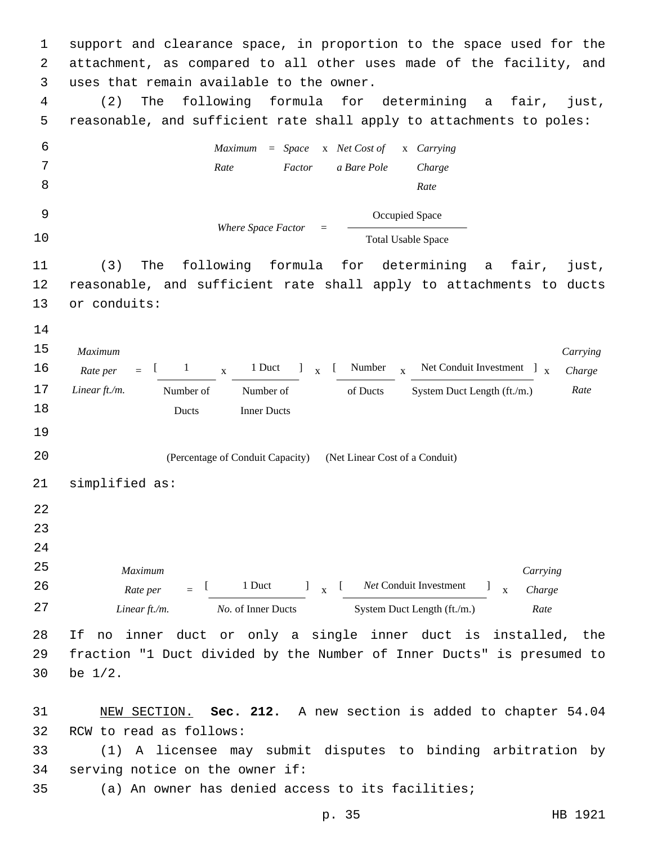1 support and clearance space, in proportion to the space used for the 2 attachment, as compared to all other uses made of the facility, and 3 uses that remain available to the owner. 4 (2) The following formula for determining a fair, just, 5 reasonable, and sufficient rate shall apply to attachments to poles: 6 7 8 *Maximum* = *Space* x *Net Cost of Rate Factor a Bare Pole* x *Carrying Charge Rate* 9 *Where Space Factor* = Occupied Space 10 Total Usable Space 11 (3) The following formula for determining a fair, just, 12 reasonable, and sufficient rate shall apply to attachments to ducts 13 or conduits: 14 15 16 *Maximum Rate per Linear ft./m.*  $=$  $\begin{bmatrix} 1 & x \end{bmatrix}$ 1 Duct  $\int_{\mathbf{x}}^{\mathbf{y}}$ [ Number <sub>x</sub> Net Conduit Investment ] <sub>x</sub> *Carrying Charge* 17 *Linear ft./m.* Number of Number of of Ducts System Duct Length (ft./m.) Rate 18 Number of Ducts Number of Inner Ducts 19 20 (Percentage of Conduit Capacity) (Net Linear Cost of a Conduit) 21 simplified as: 22 23 24 25 26 *Maximum Rate per Linear ft./m.*  $=$   $\frac{1}{2}$ 1 Duct  $l_{\rm x}$  [ *Net* Conduit Investment ] x *Carrying Charge* 27 *No.* of Inner Ducts System Duct Length (ft./m.) *Rate* 28 If no inner duct or only a single inner duct is installed, the 29 fraction "1 Duct divided by the Number of Inner Ducts" is presumed to 30 be  $1/2$ . 31 NEW SECTION. **Sec. 212.** A new section is added to chapter 54.04

32 RCW to read as follows:

33 (1) A licensee may submit disputes to binding arbitration by 34 serving notice on the owner if:

35 (a) An owner has denied access to its facilities;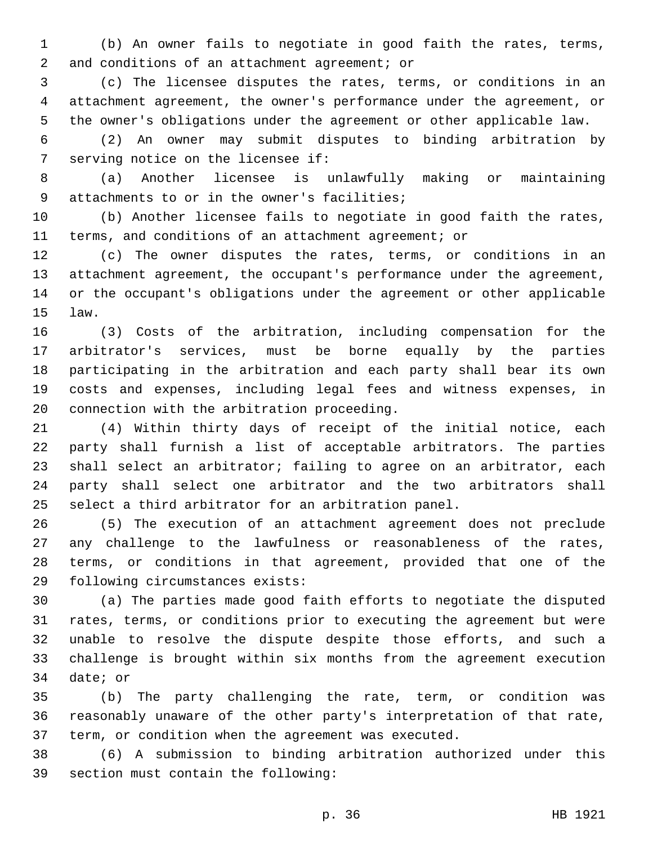(b) An owner fails to negotiate in good faith the rates, terms, 2 and conditions of an attachment agreement; or

 (c) The licensee disputes the rates, terms, or conditions in an attachment agreement, the owner's performance under the agreement, or the owner's obligations under the agreement or other applicable law.

 (2) An owner may submit disputes to binding arbitration by 7 serving notice on the licensee if:

 (a) Another licensee is unlawfully making or maintaining 9 attachments to or in the owner's facilities;

 (b) Another licensee fails to negotiate in good faith the rates, terms, and conditions of an attachment agreement; or

 (c) The owner disputes the rates, terms, or conditions in an attachment agreement, the occupant's performance under the agreement, or the occupant's obligations under the agreement or other applicable law.15

 (3) Costs of the arbitration, including compensation for the arbitrator's services, must be borne equally by the parties participating in the arbitration and each party shall bear its own costs and expenses, including legal fees and witness expenses, in 20 connection with the arbitration proceeding.

 (4) Within thirty days of receipt of the initial notice, each party shall furnish a list of acceptable arbitrators. The parties shall select an arbitrator; failing to agree on an arbitrator, each party shall select one arbitrator and the two arbitrators shall select a third arbitrator for an arbitration panel.

 (5) The execution of an attachment agreement does not preclude any challenge to the lawfulness or reasonableness of the rates, terms, or conditions in that agreement, provided that one of the 29 following circumstances exists:

 (a) The parties made good faith efforts to negotiate the disputed rates, terms, or conditions prior to executing the agreement but were unable to resolve the dispute despite those efforts, and such a challenge is brought within six months from the agreement execution 34 date; or

 (b) The party challenging the rate, term, or condition was reasonably unaware of the other party's interpretation of that rate, term, or condition when the agreement was executed.

 (6) A submission to binding arbitration authorized under this 39 section must contain the following: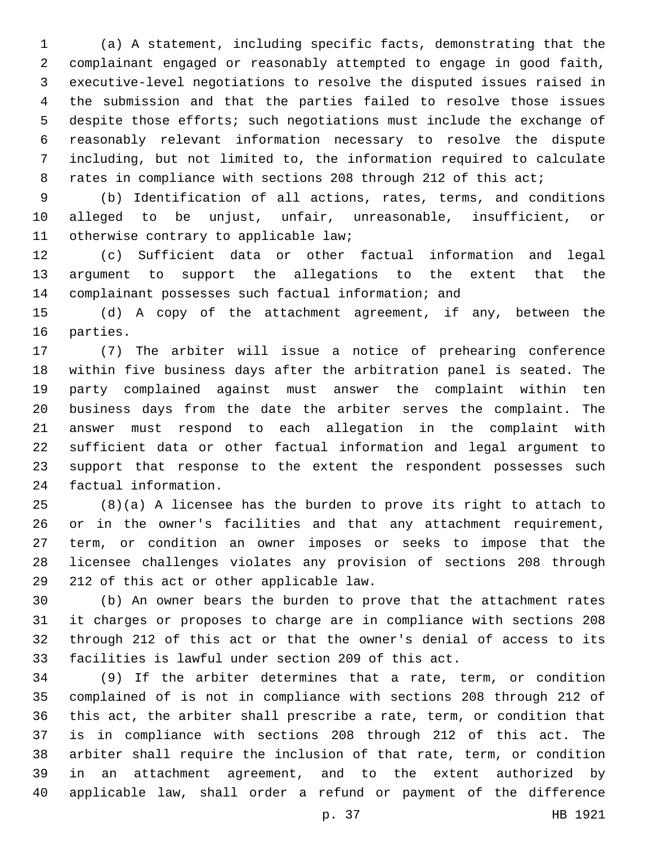(a) A statement, including specific facts, demonstrating that the complainant engaged or reasonably attempted to engage in good faith, executive-level negotiations to resolve the disputed issues raised in the submission and that the parties failed to resolve those issues despite those efforts; such negotiations must include the exchange of reasonably relevant information necessary to resolve the dispute including, but not limited to, the information required to calculate 8 rates in compliance with sections 208 through 212 of this act;

 (b) Identification of all actions, rates, terms, and conditions alleged to be unjust, unfair, unreasonable, insufficient, or 11 otherwise contrary to applicable law;

 (c) Sufficient data or other factual information and legal argument to support the allegations to the extent that the complainant possesses such factual information; and

 (d) A copy of the attachment agreement, if any, between the 16 parties.

 (7) The arbiter will issue a notice of prehearing conference within five business days after the arbitration panel is seated. The party complained against must answer the complaint within ten business days from the date the arbiter serves the complaint. The answer must respond to each allegation in the complaint with sufficient data or other factual information and legal argument to support that response to the extent the respondent possesses such 24 factual information.

 (8)(a) A licensee has the burden to prove its right to attach to or in the owner's facilities and that any attachment requirement, term, or condition an owner imposes or seeks to impose that the licensee challenges violates any provision of sections 208 through 29 212 of this act or other applicable law.

 (b) An owner bears the burden to prove that the attachment rates it charges or proposes to charge are in compliance with sections 208 through 212 of this act or that the owner's denial of access to its facilities is lawful under section 209 of this act.

 (9) If the arbiter determines that a rate, term, or condition complained of is not in compliance with sections 208 through 212 of this act, the arbiter shall prescribe a rate, term, or condition that is in compliance with sections 208 through 212 of this act. The arbiter shall require the inclusion of that rate, term, or condition in an attachment agreement, and to the extent authorized by applicable law, shall order a refund or payment of the difference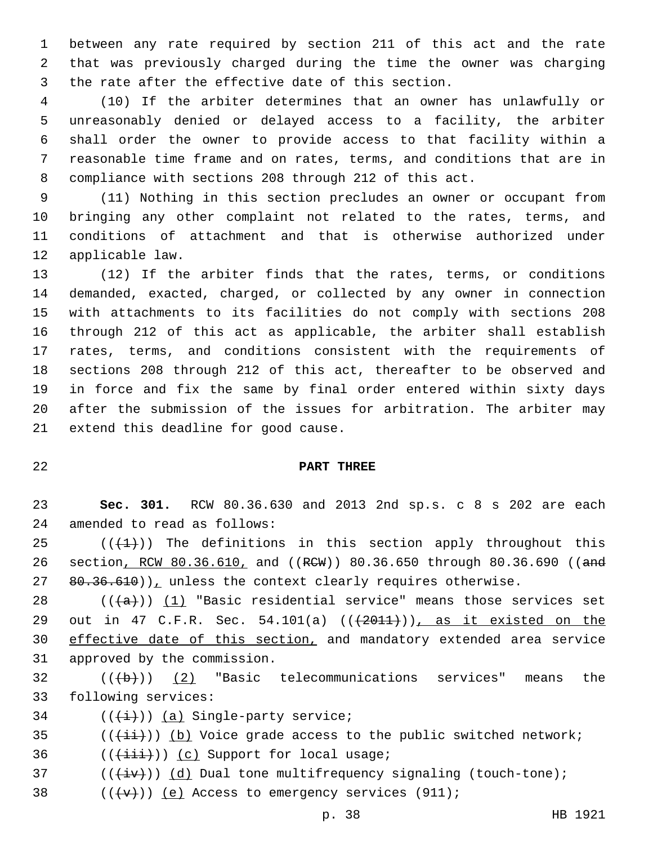between any rate required by section 211 of this act and the rate that was previously charged during the time the owner was charging 3 the rate after the effective date of this section.

 (10) If the arbiter determines that an owner has unlawfully or unreasonably denied or delayed access to a facility, the arbiter shall order the owner to provide access to that facility within a reasonable time frame and on rates, terms, and conditions that are in compliance with sections 208 through 212 of this act.

 (11) Nothing in this section precludes an owner or occupant from bringing any other complaint not related to the rates, terms, and conditions of attachment and that is otherwise authorized under 12 applicable law.

 (12) If the arbiter finds that the rates, terms, or conditions demanded, exacted, charged, or collected by any owner in connection with attachments to its facilities do not comply with sections 208 through 212 of this act as applicable, the arbiter shall establish rates, terms, and conditions consistent with the requirements of sections 208 through 212 of this act, thereafter to be observed and in force and fix the same by final order entered within sixty days after the submission of the issues for arbitration. The arbiter may 21 extend this deadline for good cause.

## **PART THREE**

 **Sec. 301.** RCW 80.36.630 and 2013 2nd sp.s. c 8 s 202 are each 24 amended to read as follows:

25  $((+1))$  The definitions in this section apply throughout this 26 section, RCW 80.36.610, and ((RCW)) 80.36.650 through 80.36.690 ((and  $80.36.610)$ , unless the context clearly requires otherwise.

28  $((+a))$   $(1)$  "Basic residential service" means those services set 29 out in 47 C.F.R. Sec. 54.101(a) (( $\left(\frac{2011}{1}\right)$ ), as it existed on the effective date of this section, and mandatory extended area service 31 approved by the commission.

 (( $\overline{+}$ )) (2) "Basic telecommunications services" means the 33 following services:

34  $((\overleftrightarrow{t}))$  (a) Single-party service;

(( $(i+i)$ )) (b) Voice grade access to the public switched network;

36  $((\overrightarrow{\text{iii}}))$  (c) Support for local usage;

37  $((\overleftrightarrow{iv}))$   $(d)$  Dual tone multifrequency signaling (touch-tone);

38  $((+v+))$  (e) Access to emergency services (911);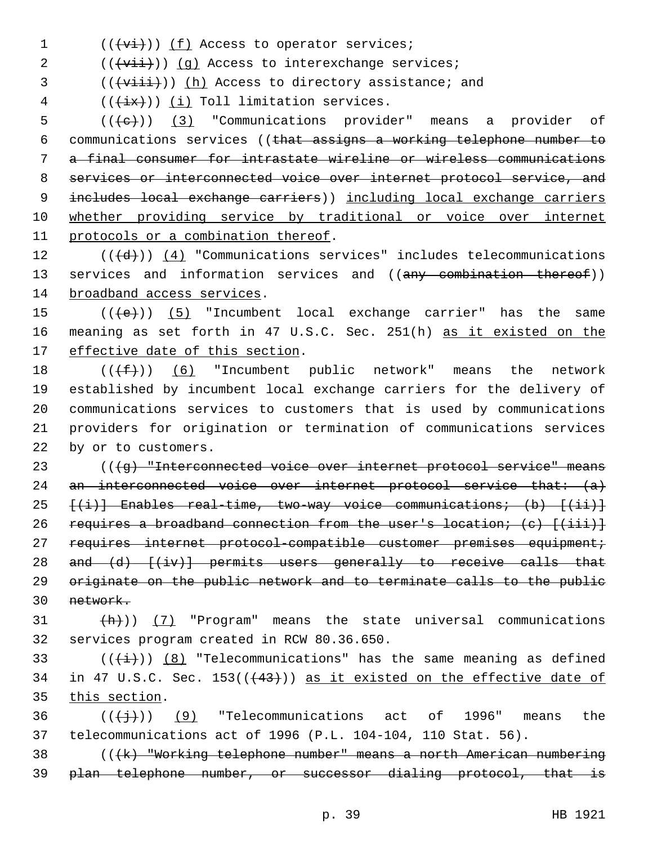$1$   $((\overrightarrow{vi}))$   $(f)$  Access to operator services;

 $2$  (( $\overrightarrow{vii})$ ) (g) Access to interexchange services;

3 (((viii))) (h) Access to directory assistance; and

 $($   $($   $($   $\frac{1}{4}x$  $))$   $($   $\frac{1}{4}$  Toll limitation services.

 (( $\left(\frac{1}{e}\right)$ ) (3) "Communications provider" means a provider of communications services ((that assigns a working telephone number to a final consumer for intrastate wireline or wireless communications services or interconnected voice over internet protocol service, and 9 includes local exchange carriers)) including local exchange carriers whether providing service by traditional or voice over internet 11 protocols or a combination thereof.

 $12$  (( $\left(\frac{d}{d}\right)$ ) (4) "Communications services" includes telecommunications 13 services and information services and ((any combination thereof)) 14 broadband access services.

15  $((+e))$   $(5)$  "Incumbent local exchange carrier" has the same 16 meaning as set forth in 47 U.S.C. Sec. 251(h) as it existed on the 17 effective date of this section.

 $((\text{+f-}))(6)$  "Incumbent public network" means the network established by incumbent local exchange carriers for the delivery of communications services to customers that is used by communications providers for origination or termination of communications services 22 by or to customers.

23 (((4g) "Interconnected voice over internet protocol service" means 24 an interconnected voice over internet protocol service that:  $\{a\}$ 25  $\{(\textbf{i})\}$  Enables real-time, two-way voice communications; (b)  $\{(\textbf{ii})\}$ 26 requires a broadband connection from the user's location; (c)  $[(iii)]$ 27 requires internet protocol-compatible customer premises equipment; 28 and (d) [(iv)] permits users generally to receive calls that 29 originate on the public network and to terminate calls to the public 30 network.

 $31$   $(\frac{h}{h})$ ) (7) "Program" means the state universal communications 32 services program created in RCW 80.36.650.

33 ( $(\frac{1}{i})$ ) (8) "Telecommunications" has the same meaning as defined 34 in 47 U.S.C. Sec.  $153((43+))$  as it existed on the effective date of 35 this section.

36  $((\{\dagger\})$  (9) "Telecommunications act of 1996" means the 37 telecommunications act of 1996 (P.L. 104-104, 110 Stat. 56).

38 (((k) "Working telephone number" means a north American numbering 39 plan telephone number, or successor dialing protocol, that is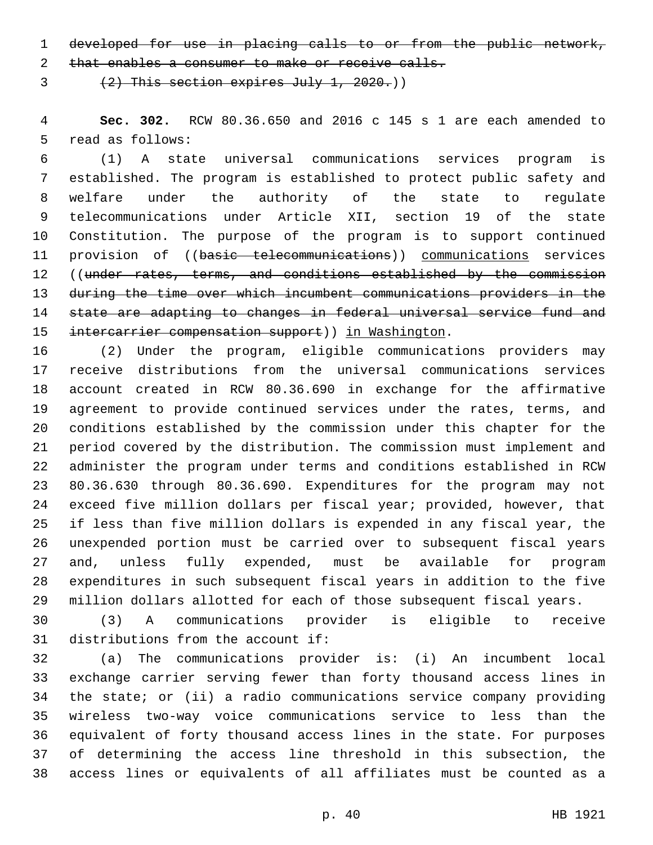developed for use in placing calls to or from the public network,

2 that enables a consumer to make or receive calls.

 $(2)$  This section expires July 1, 2020.)

 **Sec. 302.** RCW 80.36.650 and 2016 c 145 s 1 are each amended to 5 read as follows:

 (1) A state universal communications services program is established. The program is established to protect public safety and welfare under the authority of the state to regulate telecommunications under Article XII, section 19 of the state Constitution. The purpose of the program is to support continued 11 provision of ((basic telecommunications)) communications services 12 ((under rates, terms, and conditions established by the commission during the time over which incumbent communications providers in the state are adapting to changes in federal universal service fund and 15 intercarrier compensation support)) in Washington.

 (2) Under the program, eligible communications providers may receive distributions from the universal communications services account created in RCW 80.36.690 in exchange for the affirmative agreement to provide continued services under the rates, terms, and conditions established by the commission under this chapter for the period covered by the distribution. The commission must implement and administer the program under terms and conditions established in RCW 80.36.630 through 80.36.690. Expenditures for the program may not exceed five million dollars per fiscal year; provided, however, that if less than five million dollars is expended in any fiscal year, the unexpended portion must be carried over to subsequent fiscal years and, unless fully expended, must be available for program expenditures in such subsequent fiscal years in addition to the five million dollars allotted for each of those subsequent fiscal years.

 (3) A communications provider is eligible to receive 31 distributions from the account if:

 (a) The communications provider is: (i) An incumbent local exchange carrier serving fewer than forty thousand access lines in the state; or (ii) a radio communications service company providing wireless two-way voice communications service to less than the equivalent of forty thousand access lines in the state. For purposes of determining the access line threshold in this subsection, the access lines or equivalents of all affiliates must be counted as a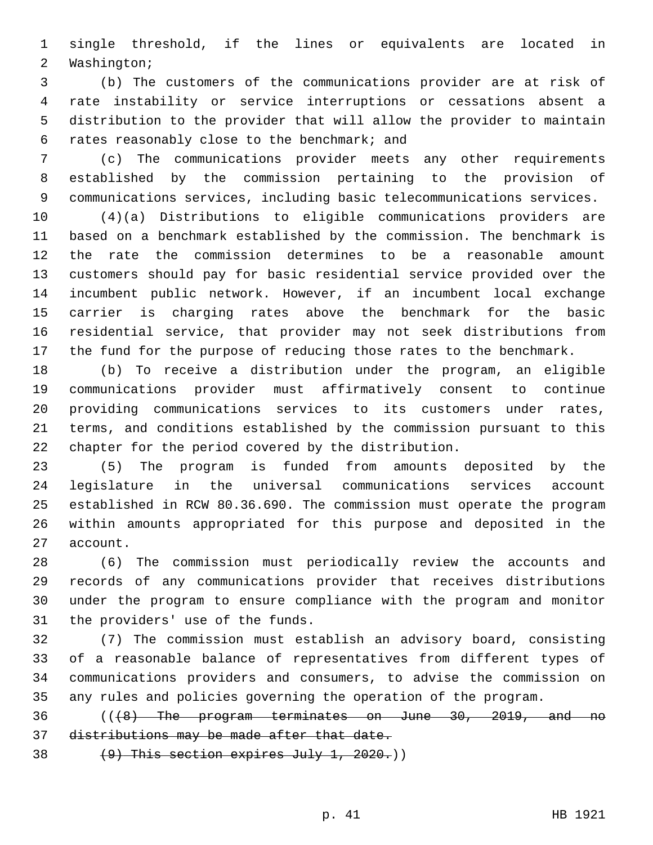single threshold, if the lines or equivalents are located in 2 Washington;

 (b) The customers of the communications provider are at risk of rate instability or service interruptions or cessations absent a distribution to the provider that will allow the provider to maintain rates reasonably close to the benchmark; and6

 (c) The communications provider meets any other requirements established by the commission pertaining to the provision of communications services, including basic telecommunications services.

 (4)(a) Distributions to eligible communications providers are based on a benchmark established by the commission. The benchmark is the rate the commission determines to be a reasonable amount customers should pay for basic residential service provided over the incumbent public network. However, if an incumbent local exchange carrier is charging rates above the benchmark for the basic residential service, that provider may not seek distributions from the fund for the purpose of reducing those rates to the benchmark.

 (b) To receive a distribution under the program, an eligible communications provider must affirmatively consent to continue providing communications services to its customers under rates, terms, and conditions established by the commission pursuant to this chapter for the period covered by the distribution.

 (5) The program is funded from amounts deposited by the legislature in the universal communications services account established in RCW 80.36.690. The commission must operate the program within amounts appropriated for this purpose and deposited in the 27 account.

 (6) The commission must periodically review the accounts and records of any communications provider that receives distributions under the program to ensure compliance with the program and monitor 31 the providers' use of the funds.

 (7) The commission must establish an advisory board, consisting of a reasonable balance of representatives from different types of communications providers and consumers, to advise the commission on any rules and policies governing the operation of the program.

 (((8) The program terminates on June 30, 2019, and no distributions may be made after that date.

38  $(9)$  This section expires July 1, 2020.)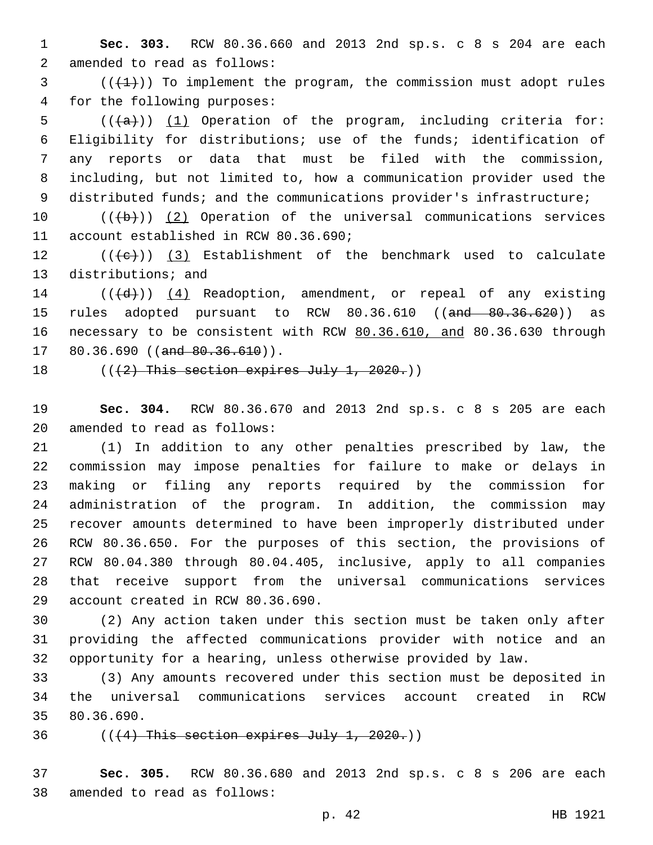1 **Sec. 303.** RCW 80.36.660 and 2013 2nd sp.s. c 8 s 204 are each 2 amended to read as follows:

 $3$  ( $(\frac{1}{1})$ ) To implement the program, the commission must adopt rules 4 for the following purposes:

 $((+a))$   $(1)$  Operation of the program, including criteria for: Eligibility for distributions; use of the funds; identification of any reports or data that must be filed with the commission, including, but not limited to, how a communication provider used the 9 distributed funds; and the communications provider's infrastructure;

10  $((+b))$   $(2)$  Operation of the universal communications services 11 account established in RCW 80.36.690;

12  $((+e))$  (3) Establishment of the benchmark used to calculate 13 distributions; and

 $14$  (( $\left(\frac{d}{d}\right)$ ) (4) Readoption, amendment, or repeal of any existing 15 rules adopted pursuant to RCW 80.36.610 ((and 80.36.620)) as 16 necessary to be consistent with RCW 80.36.610, and 80.36.630 through  $17$  80.36.690 ((and  $80.36.610$ )).

18  $((2)$  This section expires July 1, 2020.)

19 **Sec. 304.** RCW 80.36.670 and 2013 2nd sp.s. c 8 s 205 are each 20 amended to read as follows:

 (1) In addition to any other penalties prescribed by law, the commission may impose penalties for failure to make or delays in making or filing any reports required by the commission for administration of the program. In addition, the commission may recover amounts determined to have been improperly distributed under RCW 80.36.650. For the purposes of this section, the provisions of RCW 80.04.380 through 80.04.405, inclusive, apply to all companies that receive support from the universal communications services 29 account created in RCW 80.36.690.

30 (2) Any action taken under this section must be taken only after 31 providing the affected communications provider with notice and an 32 opportunity for a hearing, unless otherwise provided by law.

33 (3) Any amounts recovered under this section must be deposited in 34 the universal communications services account created in RCW 35 80.36.690.

36  $((4)$  This section expires July 1, 2020.)

37 **Sec. 305.** RCW 80.36.680 and 2013 2nd sp.s. c 8 s 206 are each 38 amended to read as follows: